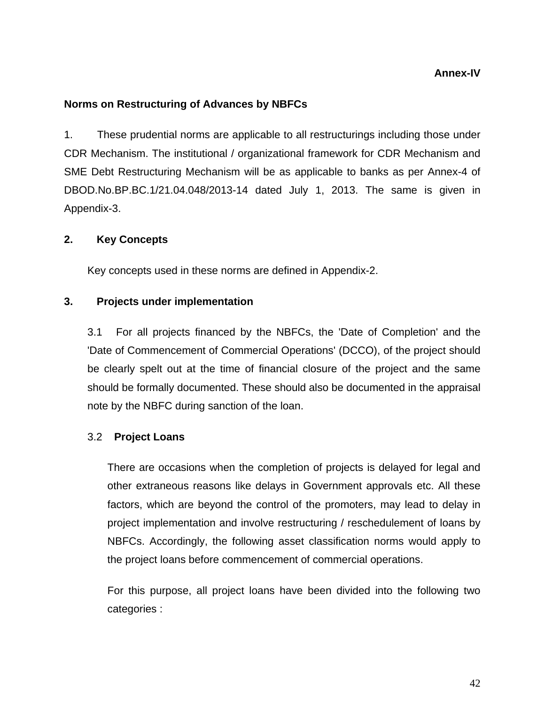### **Annex-IV**

### **Norms on Restructuring of Advances by NBFCs**

1. These prudential norms are applicable to all restructurings including those under CDR Mechanism. The institutional / organizational framework for CDR Mechanism and SME Debt Restructuring Mechanism will be as applicable to banks as per Annex-4 of DBOD.No.BP.BC.1/21.04.048/2013-14 dated July 1, 2013. The same is given in Appendix-3.

### **2. Key Concepts**

Key concepts used in these norms are defined in Appendix-2.

### **3. Projects under implementation**

3.1 For all projects financed by the NBFCs, the 'Date of Completion' and the 'Date of Commencement of Commercial Operations' (DCCO), of the project should be clearly spelt out at the time of financial closure of the project and the same should be formally documented. These should also be documented in the appraisal note by the NBFC during sanction of the loan.

### 3.2 **Project Loans**

There are occasions when the completion of projects is delayed for legal and other extraneous reasons like delays in Government approvals etc. All these factors, which are beyond the control of the promoters, may lead to delay in project implementation and involve restructuring / reschedulement of loans by NBFCs. Accordingly, the following asset classification norms would apply to the project loans before commencement of commercial operations.

For this purpose, all project loans have been divided into the following two categories :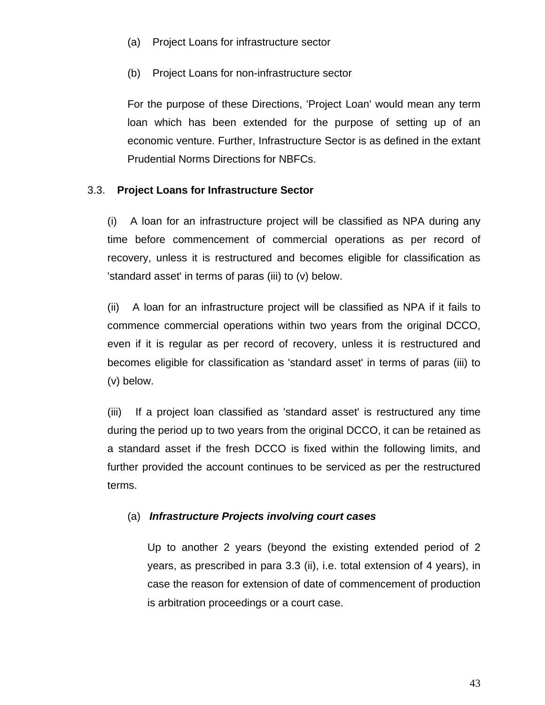- (a) Project Loans for infrastructure sector
- (b) Project Loans for non-infrastructure sector

For the purpose of these Directions, 'Project Loan' would mean any term loan which has been extended for the purpose of setting up of an economic venture. Further, Infrastructure Sector is as defined in the extant Prudential Norms Directions for NBFCs.

### 3.3. **Project Loans for Infrastructure Sector**

(i) A loan for an infrastructure project will be classified as NPA during any time before commencement of commercial operations as per record of recovery, unless it is restructured and becomes eligible for classification as 'standard asset' in terms of paras (iii) to (v) below.

(ii) A loan for an infrastructure project will be classified as NPA if it fails to commence commercial operations within two years from the original DCCO, even if it is regular as per record of recovery, unless it is restructured and becomes eligible for classification as 'standard asset' in terms of paras (iii) to (v) below.

(iii) If a project loan classified as 'standard asset' is restructured any time during the period up to two years from the original DCCO, it can be retained as a standard asset if the fresh DCCO is fixed within the following limits, and further provided the account continues to be serviced as per the restructured terms.

# (a) *Infrastructure Projects involving court cases*

Up to another 2 years (beyond the existing extended period of 2 years, as prescribed in para 3.3 (ii), i.e. total extension of 4 years), in case the reason for extension of date of commencement of production is arbitration proceedings or a court case.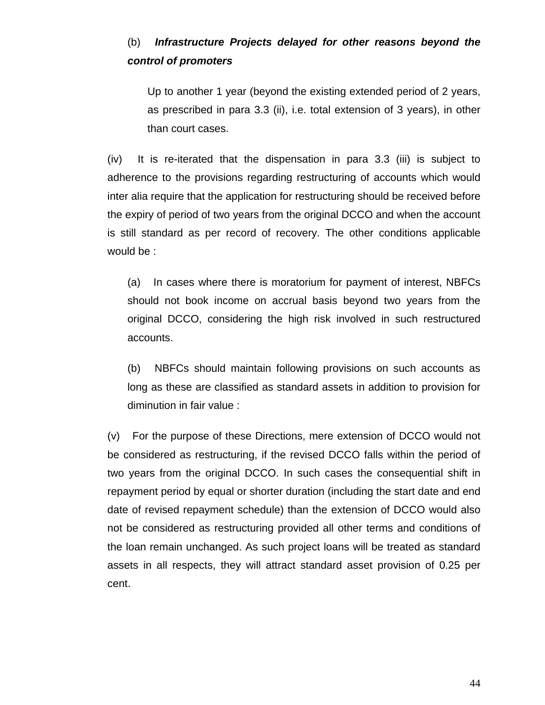# (b) *Infrastructure Projects delayed for other reasons beyond the control of promoters*

Up to another 1 year (beyond the existing extended period of 2 years, as prescribed in para 3.3 (ii), i.e. total extension of 3 years), in other than court cases.

(iv) It is re-iterated that the dispensation in para 3.3 (iii) is subject to adherence to the provisions regarding restructuring of accounts which would inter alia require that the application for restructuring should be received before the expiry of period of two years from the original DCCO and when the account is still standard as per record of recovery. The other conditions applicable would be :

(a) In cases where there is moratorium for payment of interest, NBFCs should not book income on accrual basis beyond two years from the original DCCO, considering the high risk involved in such restructured accounts.

(b) NBFCs should maintain following provisions on such accounts as long as these are classified as standard assets in addition to provision for diminution in fair value :

(v) For the purpose of these Directions, mere extension of DCCO would not be considered as restructuring, if the revised DCCO falls within the period of two years from the original DCCO. In such cases the consequential shift in repayment period by equal or shorter duration (including the start date and end date of revised repayment schedule) than the extension of DCCO would also not be considered as restructuring provided all other terms and conditions of the loan remain unchanged. As such project loans will be treated as standard assets in all respects, they will attract standard asset provision of 0.25 per cent.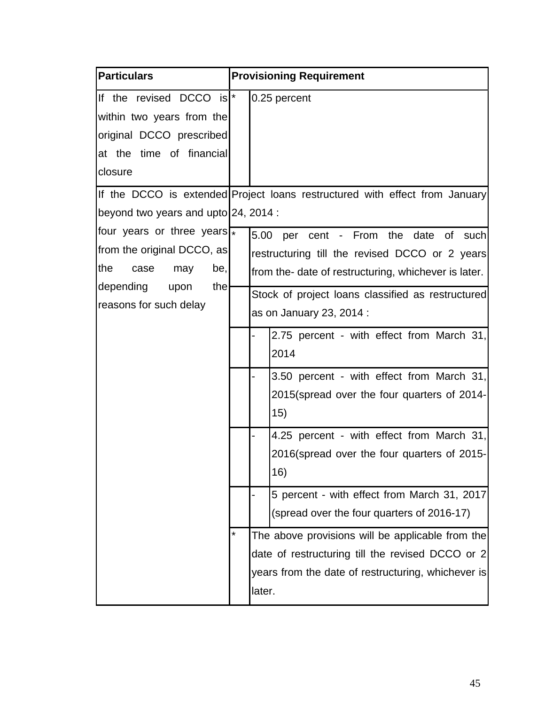| <b>Particulars</b>                                 |   | <b>Provisioning Requirement</b>                                             |  |  |  |  |  |  |  |
|----------------------------------------------------|---|-----------------------------------------------------------------------------|--|--|--|--|--|--|--|
| If the revised DCCO is <sup>*</sup>                |   | 0.25 percent                                                                |  |  |  |  |  |  |  |
| within two years from the                          |   |                                                                             |  |  |  |  |  |  |  |
| original DCCO prescribed                           |   |                                                                             |  |  |  |  |  |  |  |
| at the time of financial                           |   |                                                                             |  |  |  |  |  |  |  |
| closure                                            |   |                                                                             |  |  |  |  |  |  |  |
|                                                    |   | If the DCCO is extended Project loans restructured with effect from January |  |  |  |  |  |  |  |
| beyond two years and upto 24, 2014 :               |   |                                                                             |  |  |  |  |  |  |  |
| four years or three years $\overline{\phantom{a}}$ |   | 5.00<br>per cent - From the date of such                                    |  |  |  |  |  |  |  |
| from the original DCCO, as                         |   | restructuring till the revised DCCO or 2 years                              |  |  |  |  |  |  |  |
| the<br>case<br>be,<br>may                          |   | from the- date of restructuring, whichever is later.                        |  |  |  |  |  |  |  |
| depending<br>the<br>upon                           |   | Stock of project loans classified as restructured                           |  |  |  |  |  |  |  |
| reasons for such delay                             |   | as on January 23, 2014 :                                                    |  |  |  |  |  |  |  |
|                                                    |   | 2.75 percent - with effect from March 31,                                   |  |  |  |  |  |  |  |
|                                                    |   | 2014                                                                        |  |  |  |  |  |  |  |
|                                                    |   | 3.50 percent - with effect from March 31,                                   |  |  |  |  |  |  |  |
|                                                    |   | 2015(spread over the four quarters of 2014-                                 |  |  |  |  |  |  |  |
|                                                    |   | 15)                                                                         |  |  |  |  |  |  |  |
|                                                    |   | 4.25 percent - with effect from March 31,                                   |  |  |  |  |  |  |  |
|                                                    |   | 2016(spread over the four quarters of 2015-                                 |  |  |  |  |  |  |  |
|                                                    |   | 16)                                                                         |  |  |  |  |  |  |  |
|                                                    |   | 5 percent - with effect from March 31, 2017                                 |  |  |  |  |  |  |  |
|                                                    |   | (spread over the four quarters of 2016-17)                                  |  |  |  |  |  |  |  |
|                                                    | * | The above provisions will be applicable from the                            |  |  |  |  |  |  |  |
|                                                    |   | date of restructuring till the revised DCCO or 2                            |  |  |  |  |  |  |  |
|                                                    |   | years from the date of restructuring, whichever is                          |  |  |  |  |  |  |  |
|                                                    |   | later.                                                                      |  |  |  |  |  |  |  |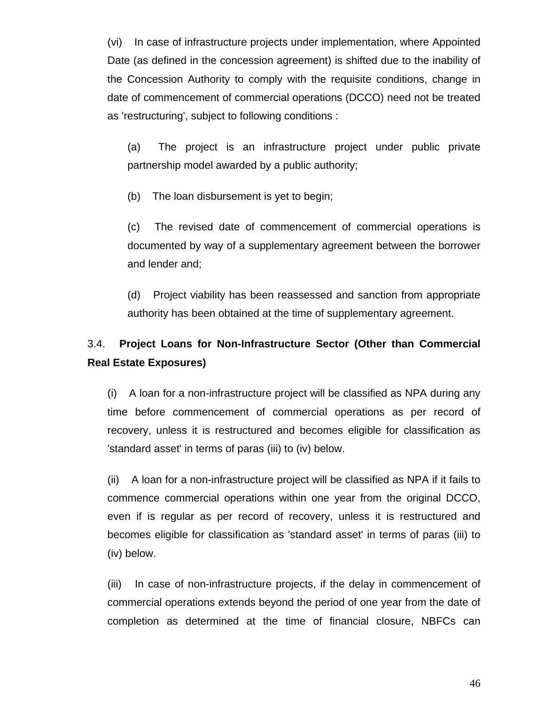(vi) In case of infrastructure projects under implementation, where Appointed Date (as defined in the concession agreement) is shifted due to the inability of the Concession Authority to comply with the requisite conditions, change in date of commencement of commercial operations (DCCO) need not be treated as 'restructuring', subject to following conditions :

(a) The project is an infrastructure project under public private partnership model awarded by a public authority;

(b) The loan disbursement is yet to begin;

(c) The revised date of commencement of commercial operations is documented by way of a supplementary agreement between the borrower and lender and;

(d) Project viability has been reassessed and sanction from appropriate authority has been obtained at the time of supplementary agreement.

# 3.4. **Project Loans for Non-Infrastructure Sector (Other than Commercial Real Estate Exposures)**

(i) A loan for a non-infrastructure project will be classified as NPA during any time before commencement of commercial operations as per record of recovery, unless it is restructured and becomes eligible for classification as 'standard asset' in terms of paras (iii) to (iv) below.

(ii) A loan for a non-infrastructure project will be classified as NPA if it fails to commence commercial operations within one year from the original DCCO, even if is regular as per record of recovery, unless it is restructured and becomes eligible for classification as 'standard asset' in terms of paras (iii) to (iv) below.

(iii) In case of non-infrastructure projects, if the delay in commencement of commercial operations extends beyond the period of one year from the date of completion as determined at the time of financial closure, NBFCs can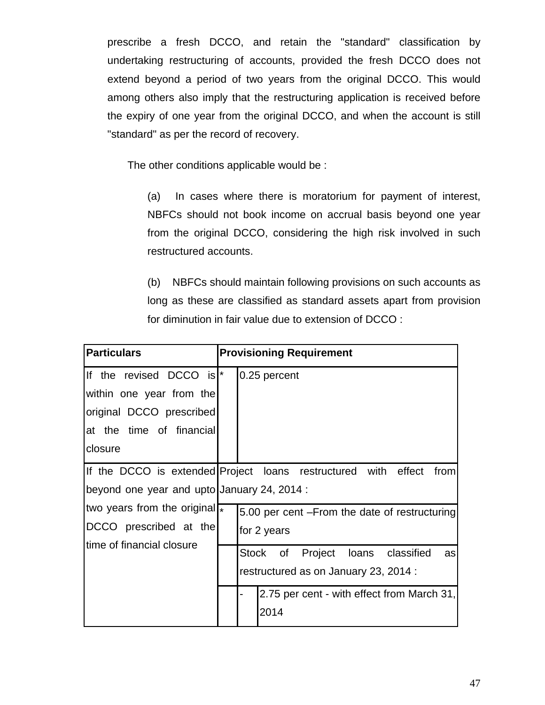prescribe a fresh DCCO, and retain the "standard" classification by undertaking restructuring of accounts, provided the fresh DCCO does not extend beyond a period of two years from the original DCCO. This would among others also imply that the restructuring application is received before the expiry of one year from the original DCCO, and when the account is still "standard" as per the record of recovery.

The other conditions applicable would be :

(a) In cases where there is moratorium for payment of interest, NBFCs should not book income on accrual basis beyond one year from the original DCCO, considering the high risk involved in such restructured accounts.

(b) NBFCs should maintain following provisions on such accounts as long as these are classified as standard assets apart from provision for diminution in fair value due to extension of DCCO :

| <b>Particulars</b>                            | <b>Provisioning Requirement</b>                                                  |
|-----------------------------------------------|----------------------------------------------------------------------------------|
| If the revised DCCO is <sup>*</sup>           | 0.25 percent                                                                     |
| within one year from the                      |                                                                                  |
| original DCCO prescribed                      |                                                                                  |
| at the time of financial                      |                                                                                  |
| closure                                       |                                                                                  |
|                                               | If the DCCO is extended Project loans restructured with effect<br>from           |
| beyond one year and upto January 24, 2014 :   |                                                                                  |
| two years from the original $\overline{\ast}$ | 5.00 per cent – From the date of restructuring                                   |
| DCCO prescribed at the                        | for 2 years                                                                      |
| time of financial closure                     | Stock of Project loans classified<br>as<br>restructured as on January 23, 2014 : |
|                                               | 2.75 per cent - with effect from March 31,<br>2014                               |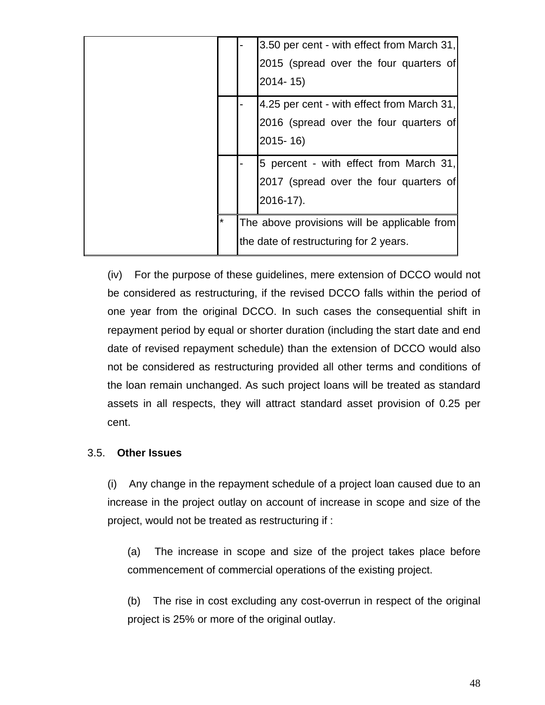|          | 3.50 per cent - with effect from March 31,<br>2015 (spread over the four quarters of<br>$2014 - 15$ |
|----------|-----------------------------------------------------------------------------------------------------|
|          | 4.25 per cent - with effect from March 31,<br>2016 (spread over the four quarters of<br>$2015 - 16$ |
|          | 5 percent - with effect from March 31,<br>2017 (spread over the four quarters of<br>2016-17).       |
| $^\star$ | The above provisions will be applicable from<br>the date of restructuring for 2 years.              |

(iv) For the purpose of these guidelines, mere extension of DCCO would not be considered as restructuring, if the revised DCCO falls within the period of one year from the original DCCO. In such cases the consequential shift in repayment period by equal or shorter duration (including the start date and end date of revised repayment schedule) than the extension of DCCO would also not be considered as restructuring provided all other terms and conditions of the loan remain unchanged. As such project loans will be treated as standard assets in all respects, they will attract standard asset provision of 0.25 per cent.

### 3.5. **Other Issues**

(i) Any change in the repayment schedule of a project loan caused due to an increase in the project outlay on account of increase in scope and size of the project, would not be treated as restructuring if :

(a) The increase in scope and size of the project takes place before commencement of commercial operations of the existing project.

(b) The rise in cost excluding any cost-overrun in respect of the original project is 25% or more of the original outlay.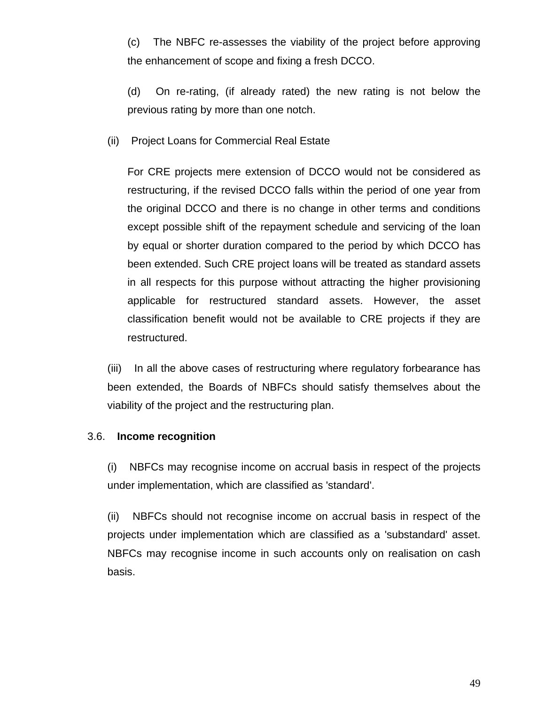(c) The NBFC re-assesses the viability of the project before approving the enhancement of scope and fixing a fresh DCCO.

(d) On re-rating, (if already rated) the new rating is not below the previous rating by more than one notch.

(ii) Project Loans for Commercial Real Estate

For CRE projects mere extension of DCCO would not be considered as restructuring, if the revised DCCO falls within the period of one year from the original DCCO and there is no change in other terms and conditions except possible shift of the repayment schedule and servicing of the loan by equal or shorter duration compared to the period by which DCCO has been extended. Such CRE project loans will be treated as standard assets in all respects for this purpose without attracting the higher provisioning applicable for restructured standard assets. However, the asset classification benefit would not be available to CRE projects if they are restructured.

(iii) In all the above cases of restructuring where regulatory forbearance has been extended, the Boards of NBFCs should satisfy themselves about the viability of the project and the restructuring plan.

### 3.6. **Income recognition**

(i) NBFCs may recognise income on accrual basis in respect of the projects under implementation, which are classified as 'standard'.

(ii) NBFCs should not recognise income on accrual basis in respect of the projects under implementation which are classified as a 'substandard' asset. NBFCs may recognise income in such accounts only on realisation on cash basis.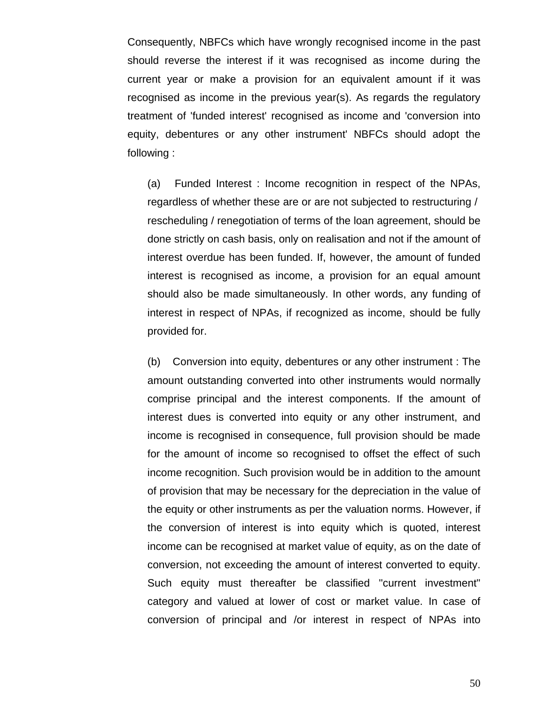Consequently, NBFCs which have wrongly recognised income in the past should reverse the interest if it was recognised as income during the current year or make a provision for an equivalent amount if it was recognised as income in the previous year(s). As regards the regulatory treatment of 'funded interest' recognised as income and 'conversion into equity, debentures or any other instrument' NBFCs should adopt the following :

(a) Funded Interest : Income recognition in respect of the NPAs, regardless of whether these are or are not subjected to restructuring / rescheduling / renegotiation of terms of the loan agreement, should be done strictly on cash basis, only on realisation and not if the amount of interest overdue has been funded. If, however, the amount of funded interest is recognised as income, a provision for an equal amount should also be made simultaneously. In other words, any funding of interest in respect of NPAs, if recognized as income, should be fully provided for.

(b) Conversion into equity, debentures or any other instrument : The amount outstanding converted into other instruments would normally comprise principal and the interest components. If the amount of interest dues is converted into equity or any other instrument, and income is recognised in consequence, full provision should be made for the amount of income so recognised to offset the effect of such income recognition. Such provision would be in addition to the amount of provision that may be necessary for the depreciation in the value of the equity or other instruments as per the valuation norms. However, if the conversion of interest is into equity which is quoted, interest income can be recognised at market value of equity, as on the date of conversion, not exceeding the amount of interest converted to equity. Such equity must thereafter be classified "current investment" category and valued at lower of cost or market value. In case of conversion of principal and /or interest in respect of NPAs into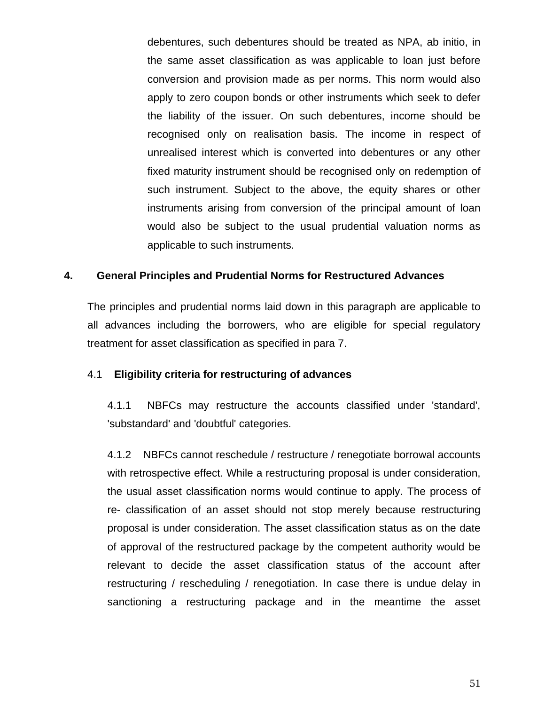debentures, such debentures should be treated as NPA, ab initio, in the same asset classification as was applicable to loan just before conversion and provision made as per norms. This norm would also apply to zero coupon bonds or other instruments which seek to defer the liability of the issuer. On such debentures, income should be recognised only on realisation basis. The income in respect of unrealised interest which is converted into debentures or any other fixed maturity instrument should be recognised only on redemption of such instrument. Subject to the above, the equity shares or other instruments arising from conversion of the principal amount of loan would also be subject to the usual prudential valuation norms as applicable to such instruments.

#### **4. General Principles and Prudential Norms for Restructured Advances**

The principles and prudential norms laid down in this paragraph are applicable to all advances including the borrowers, who are eligible for special regulatory treatment for asset classification as specified in para 7.

#### 4.1 **Eligibility criteria for restructuring of advances**

4.1.1 NBFCs may restructure the accounts classified under 'standard', 'substandard' and 'doubtful' categories.

4.1.2 NBFCs cannot reschedule / restructure / renegotiate borrowal accounts with retrospective effect. While a restructuring proposal is under consideration, the usual asset classification norms would continue to apply. The process of re- classification of an asset should not stop merely because restructuring proposal is under consideration. The asset classification status as on the date of approval of the restructured package by the competent authority would be relevant to decide the asset classification status of the account after restructuring / rescheduling / renegotiation. In case there is undue delay in sanctioning a restructuring package and in the meantime the asset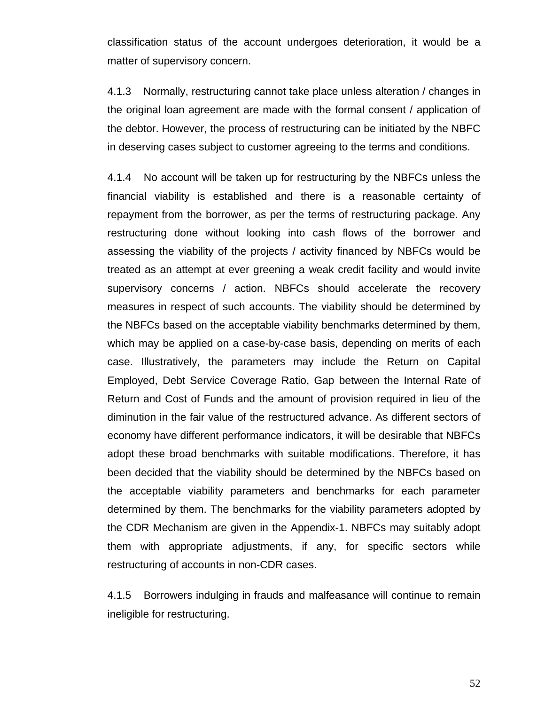classification status of the account undergoes deterioration, it would be a matter of supervisory concern.

4.1.3 Normally, restructuring cannot take place unless alteration / changes in the original loan agreement are made with the formal consent / application of the debtor. However, the process of restructuring can be initiated by the NBFC in deserving cases subject to customer agreeing to the terms and conditions.

4.1.4 No account will be taken up for restructuring by the NBFCs unless the financial viability is established and there is a reasonable certainty of repayment from the borrower, as per the terms of restructuring package. Any restructuring done without looking into cash flows of the borrower and assessing the viability of the projects / activity financed by NBFCs would be treated as an attempt at ever greening a weak credit facility and would invite supervisory concerns / action. NBFCs should accelerate the recovery measures in respect of such accounts. The viability should be determined by the NBFCs based on the acceptable viability benchmarks determined by them, which may be applied on a case-by-case basis, depending on merits of each case. Illustratively, the parameters may include the Return on Capital Employed, Debt Service Coverage Ratio, Gap between the Internal Rate of Return and Cost of Funds and the amount of provision required in lieu of the diminution in the fair value of the restructured advance. As different sectors of economy have different performance indicators, it will be desirable that NBFCs adopt these broad benchmarks with suitable modifications. Therefore, it has been decided that the viability should be determined by the NBFCs based on the acceptable viability parameters and benchmarks for each parameter determined by them. The benchmarks for the viability parameters adopted by the CDR Mechanism are given in the Appendix-1. NBFCs may suitably adopt them with appropriate adjustments, if any, for specific sectors while restructuring of accounts in non-CDR cases.

4.1.5 Borrowers indulging in frauds and malfeasance will continue to remain ineligible for restructuring.

52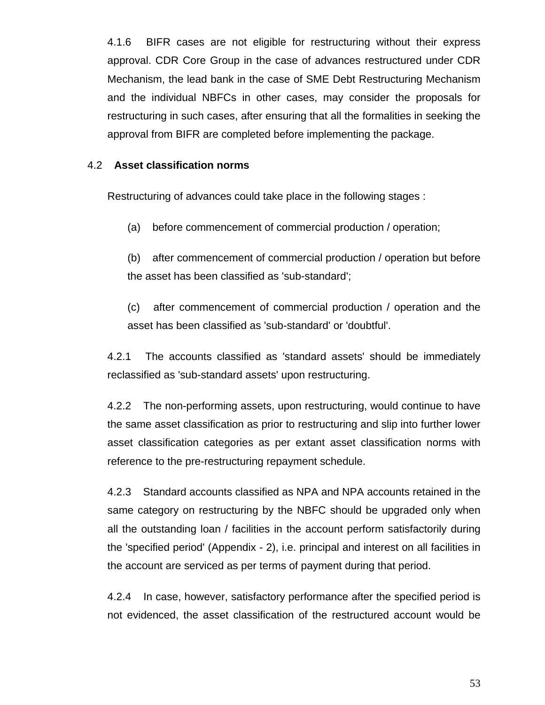4.1.6 BIFR cases are not eligible for restructuring without their express approval. CDR Core Group in the case of advances restructured under CDR Mechanism, the lead bank in the case of SME Debt Restructuring Mechanism and the individual NBFCs in other cases, may consider the proposals for restructuring in such cases, after ensuring that all the formalities in seeking the approval from BIFR are completed before implementing the package.

### 4.2 **Asset classification norms**

Restructuring of advances could take place in the following stages :

(a) before commencement of commercial production / operation;

(b) after commencement of commercial production / operation but before the asset has been classified as 'sub-standard';

(c) after commencement of commercial production / operation and the asset has been classified as 'sub-standard' or 'doubtful'.

4.2.1 The accounts classified as 'standard assets' should be immediately reclassified as 'sub-standard assets' upon restructuring.

4.2.2 The non-performing assets, upon restructuring, would continue to have the same asset classification as prior to restructuring and slip into further lower asset classification categories as per extant asset classification norms with reference to the pre-restructuring repayment schedule.

4.2.3 Standard accounts classified as NPA and NPA accounts retained in the same category on restructuring by the NBFC should be upgraded only when all the outstanding loan / facilities in the account perform satisfactorily during the 'specified period' (Appendix - 2), i.e. principal and interest on all facilities in the account are serviced as per terms of payment during that period.

4.2.4 In case, however, satisfactory performance after the specified period is not evidenced, the asset classification of the restructured account would be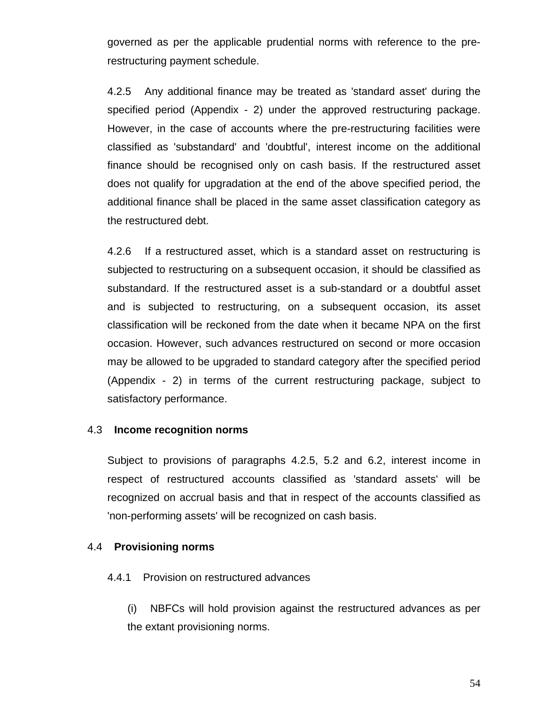governed as per the applicable prudential norms with reference to the prerestructuring payment schedule.

4.2.5 Any additional finance may be treated as 'standard asset' during the specified period (Appendix - 2) under the approved restructuring package. However, in the case of accounts where the pre-restructuring facilities were classified as 'substandard' and 'doubtful', interest income on the additional finance should be recognised only on cash basis. If the restructured asset does not qualify for upgradation at the end of the above specified period, the additional finance shall be placed in the same asset classification category as the restructured debt.

4.2.6 If a restructured asset, which is a standard asset on restructuring is subjected to restructuring on a subsequent occasion, it should be classified as substandard. If the restructured asset is a sub-standard or a doubtful asset and is subjected to restructuring, on a subsequent occasion, its asset classification will be reckoned from the date when it became NPA on the first occasion. However, such advances restructured on second or more occasion may be allowed to be upgraded to standard category after the specified period (Appendix - 2) in terms of the current restructuring package, subject to satisfactory performance.

### 4.3 **Income recognition norms**

Subject to provisions of paragraphs 4.2.5, 5.2 and 6.2, interest income in respect of restructured accounts classified as 'standard assets' will be recognized on accrual basis and that in respect of the accounts classified as 'non-performing assets' will be recognized on cash basis.

### 4.4 **Provisioning norms**

4.4.1 Provision on restructured advances

(i) NBFCs will hold provision against the restructured advances as per the extant provisioning norms.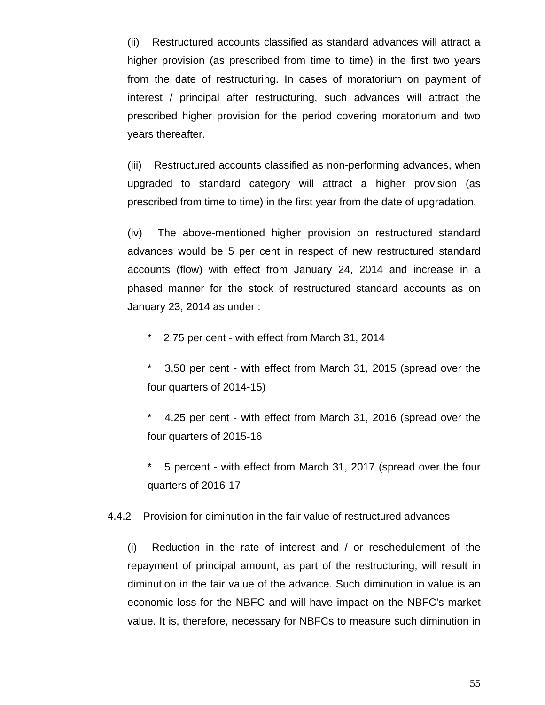(ii) Restructured accounts classified as standard advances will attract a higher provision (as prescribed from time to time) in the first two years from the date of restructuring. In cases of moratorium on payment of interest / principal after restructuring, such advances will attract the prescribed higher provision for the period covering moratorium and two years thereafter.

(iii) Restructured accounts classified as non-performing advances, when upgraded to standard category will attract a higher provision (as prescribed from time to time) in the first year from the date of upgradation.

(iv) The above-mentioned higher provision on restructured standard advances would be 5 per cent in respect of new restructured standard accounts (flow) with effect from January 24, 2014 and increase in a phased manner for the stock of restructured standard accounts as on January 23, 2014 as under :

- 2.75 per cent with effect from March 31, 2014
- \* 3.50 per cent with effect from March 31, 2015 (spread over the four quarters of 2014-15)

\* 4.25 per cent - with effect from March 31, 2016 (spread over the four quarters of 2015-16

5 percent - with effect from March 31, 2017 (spread over the four quarters of 2016-17

4.4.2 Provision for diminution in the fair value of restructured advances

(i) Reduction in the rate of interest and / or reschedulement of the repayment of principal amount, as part of the restructuring, will result in diminution in the fair value of the advance. Such diminution in value is an economic loss for the NBFC and will have impact on the NBFC's market value. It is, therefore, necessary for NBFCs to measure such diminution in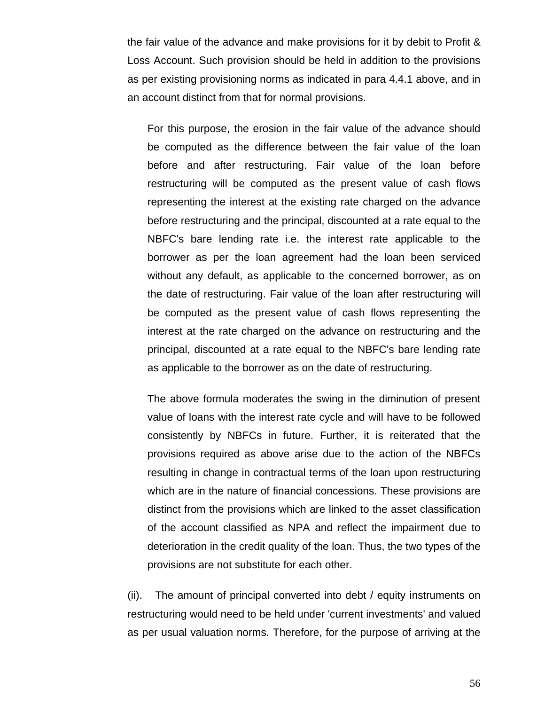the fair value of the advance and make provisions for it by debit to Profit & Loss Account. Such provision should be held in addition to the provisions as per existing provisioning norms as indicated in para 4.4.1 above, and in an account distinct from that for normal provisions.

For this purpose, the erosion in the fair value of the advance should be computed as the difference between the fair value of the loan before and after restructuring. Fair value of the loan before restructuring will be computed as the present value of cash flows representing the interest at the existing rate charged on the advance before restructuring and the principal, discounted at a rate equal to the NBFC's bare lending rate i.e. the interest rate applicable to the borrower as per the loan agreement had the loan been serviced without any default, as applicable to the concerned borrower, as on the date of restructuring. Fair value of the loan after restructuring will be computed as the present value of cash flows representing the interest at the rate charged on the advance on restructuring and the principal, discounted at a rate equal to the NBFC's bare lending rate as applicable to the borrower as on the date of restructuring.

The above formula moderates the swing in the diminution of present value of loans with the interest rate cycle and will have to be followed consistently by NBFCs in future. Further, it is reiterated that the provisions required as above arise due to the action of the NBFCs resulting in change in contractual terms of the loan upon restructuring which are in the nature of financial concessions. These provisions are distinct from the provisions which are linked to the asset classification of the account classified as NPA and reflect the impairment due to deterioration in the credit quality of the loan. Thus, the two types of the provisions are not substitute for each other.

(ii). The amount of principal converted into debt / equity instruments on restructuring would need to be held under 'current investments' and valued as per usual valuation norms. Therefore, for the purpose of arriving at the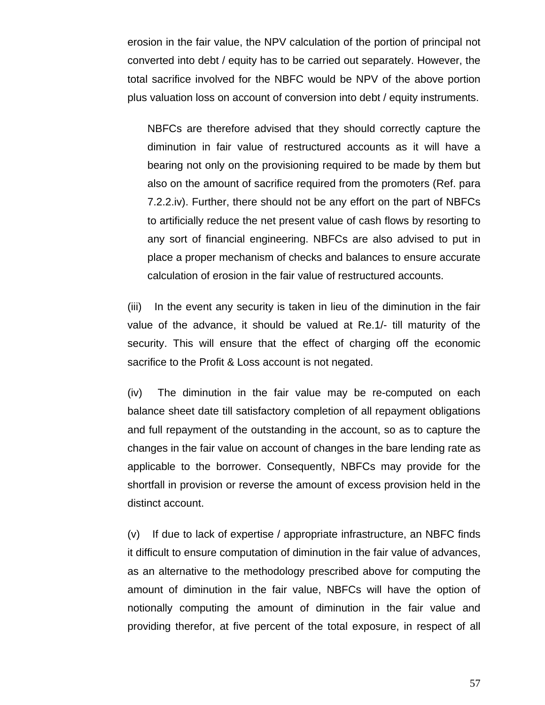erosion in the fair value, the NPV calculation of the portion of principal not converted into debt / equity has to be carried out separately. However, the total sacrifice involved for the NBFC would be NPV of the above portion plus valuation loss on account of conversion into debt / equity instruments.

NBFCs are therefore advised that they should correctly capture the diminution in fair value of restructured accounts as it will have a bearing not only on the provisioning required to be made by them but also on the amount of sacrifice required from the promoters (Ref. para 7.2.2.iv). Further, there should not be any effort on the part of NBFCs to artificially reduce the net present value of cash flows by resorting to any sort of financial engineering. NBFCs are also advised to put in place a proper mechanism of checks and balances to ensure accurate calculation of erosion in the fair value of restructured accounts.

(iii) In the event any security is taken in lieu of the diminution in the fair value of the advance, it should be valued at Re.1/- till maturity of the security. This will ensure that the effect of charging off the economic sacrifice to the Profit & Loss account is not negated.

(iv) The diminution in the fair value may be re-computed on each balance sheet date till satisfactory completion of all repayment obligations and full repayment of the outstanding in the account, so as to capture the changes in the fair value on account of changes in the bare lending rate as applicable to the borrower. Consequently, NBFCs may provide for the shortfall in provision or reverse the amount of excess provision held in the distinct account.

(v) If due to lack of expertise / appropriate infrastructure, an NBFC finds it difficult to ensure computation of diminution in the fair value of advances, as an alternative to the methodology prescribed above for computing the amount of diminution in the fair value, NBFCs will have the option of notionally computing the amount of diminution in the fair value and providing therefor, at five percent of the total exposure, in respect of all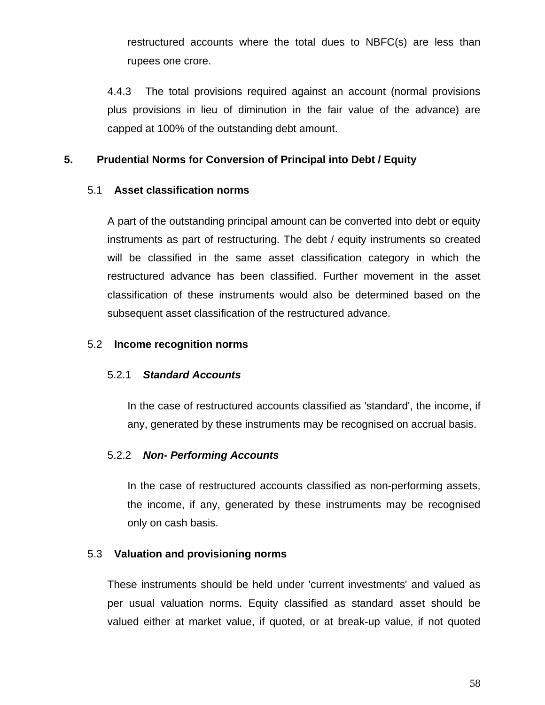restructured accounts where the total dues to NBFC(s) are less than rupees one crore.

4.4.3 The total provisions required against an account (normal provisions plus provisions in lieu of diminution in the fair value of the advance) are capped at 100% of the outstanding debt amount.

### **5. Prudential Norms for Conversion of Principal into Debt / Equity**

### 5.1 **Asset classification norms**

A part of the outstanding principal amount can be converted into debt or equity instruments as part of restructuring. The debt / equity instruments so created will be classified in the same asset classification category in which the restructured advance has been classified. Further movement in the asset classification of these instruments would also be determined based on the subsequent asset classification of the restructured advance.

### 5.2 **Income recognition norms**

### 5.2.1 *Standard Accounts*

In the case of restructured accounts classified as 'standard', the income, if any, generated by these instruments may be recognised on accrual basis.

### 5.2.2 *Non- Performing Accounts*

In the case of restructured accounts classified as non-performing assets, the income, if any, generated by these instruments may be recognised only on cash basis.

### 5.3 **Valuation and provisioning norms**

These instruments should be held under 'current investments' and valued as per usual valuation norms. Equity classified as standard asset should be valued either at market value, if quoted, or at break-up value, if not quoted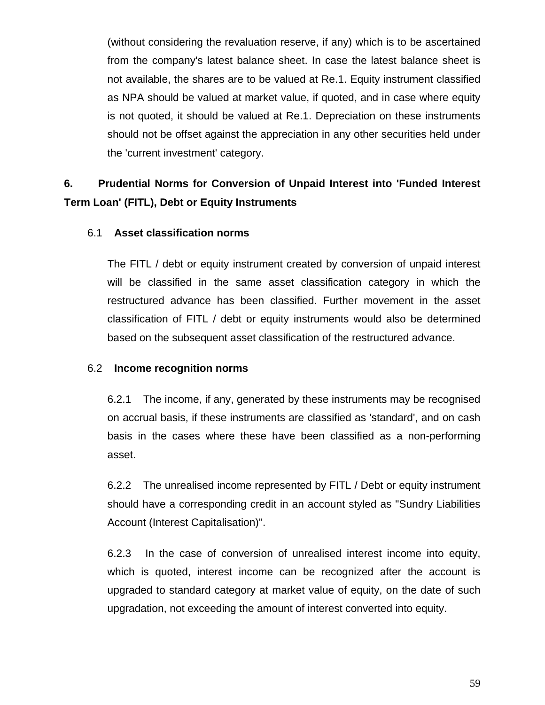(without considering the revaluation reserve, if any) which is to be ascertained from the company's latest balance sheet. In case the latest balance sheet is not available, the shares are to be valued at Re.1. Equity instrument classified as NPA should be valued at market value, if quoted, and in case where equity is not quoted, it should be valued at Re.1. Depreciation on these instruments should not be offset against the appreciation in any other securities held under the 'current investment' category.

# **6. Prudential Norms for Conversion of Unpaid Interest into 'Funded Interest Term Loan' (FITL), Debt or Equity Instruments**

### 6.1 **Asset classification norms**

The FITL / debt or equity instrument created by conversion of unpaid interest will be classified in the same asset classification category in which the restructured advance has been classified. Further movement in the asset classification of FITL / debt or equity instruments would also be determined based on the subsequent asset classification of the restructured advance.

### 6.2 **Income recognition norms**

6.2.1 The income, if any, generated by these instruments may be recognised on accrual basis, if these instruments are classified as 'standard', and on cash basis in the cases where these have been classified as a non-performing asset.

6.2.2 The unrealised income represented by FITL / Debt or equity instrument should have a corresponding credit in an account styled as "Sundry Liabilities Account (Interest Capitalisation)".

6.2.3 In the case of conversion of unrealised interest income into equity, which is quoted, interest income can be recognized after the account is upgraded to standard category at market value of equity, on the date of such upgradation, not exceeding the amount of interest converted into equity.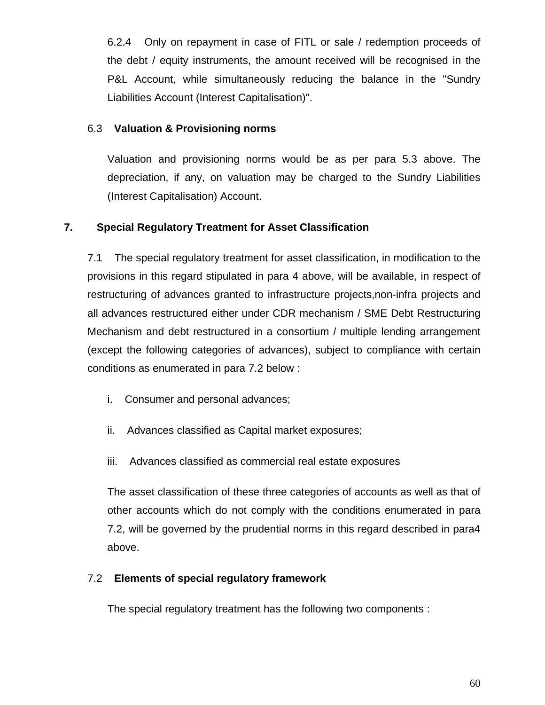6.2.4 Only on repayment in case of FITL or sale / redemption proceeds of the debt / equity instruments, the amount received will be recognised in the P&L Account, while simultaneously reducing the balance in the "Sundry Liabilities Account (Interest Capitalisation)".

### 6.3 **Valuation & Provisioning norms**

Valuation and provisioning norms would be as per para 5.3 above. The depreciation, if any, on valuation may be charged to the Sundry Liabilities (Interest Capitalisation) Account.

### **7. Special Regulatory Treatment for Asset Classification**

7.1 The special regulatory treatment for asset classification, in modification to the provisions in this regard stipulated in para 4 above, will be available, in respect of restructuring of advances granted to infrastructure projects,non-infra projects and all advances restructured either under CDR mechanism / SME Debt Restructuring Mechanism and debt restructured in a consortium / multiple lending arrangement (except the following categories of advances), subject to compliance with certain conditions as enumerated in para 7.2 below :

- i. Consumer and personal advances;
- ii. Advances classified as Capital market exposures;
- iii. Advances classified as commercial real estate exposures

The asset classification of these three categories of accounts as well as that of other accounts which do not comply with the conditions enumerated in para 7.2, will be governed by the prudential norms in this regard described in para4 above.

# 7.2 **Elements of special regulatory framework**

The special regulatory treatment has the following two components :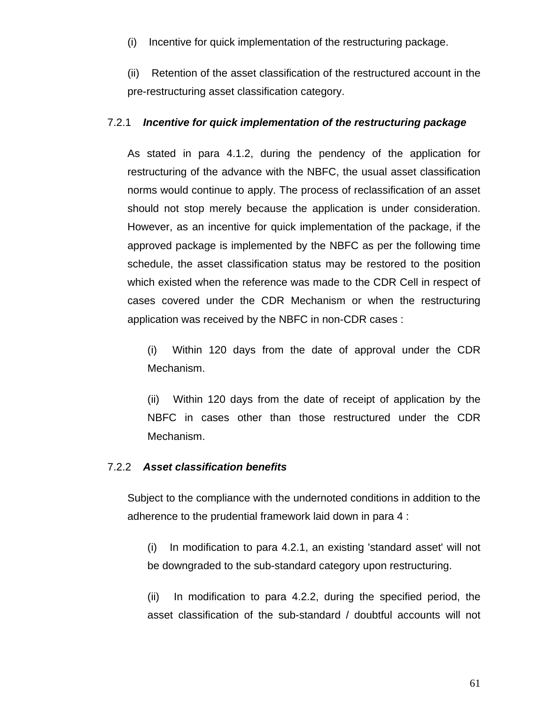(i) Incentive for quick implementation of the restructuring package.

(ii) Retention of the asset classification of the restructured account in the pre-restructuring asset classification category.

#### 7.2.1 *Incentive for quick implementation of the restructuring package*

As stated in para 4.1.2, during the pendency of the application for restructuring of the advance with the NBFC, the usual asset classification norms would continue to apply. The process of reclassification of an asset should not stop merely because the application is under consideration. However, as an incentive for quick implementation of the package, if the approved package is implemented by the NBFC as per the following time schedule, the asset classification status may be restored to the position which existed when the reference was made to the CDR Cell in respect of cases covered under the CDR Mechanism or when the restructuring application was received by the NBFC in non-CDR cases :

(i) Within 120 days from the date of approval under the CDR Mechanism.

(ii) Within 120 days from the date of receipt of application by the NBFC in cases other than those restructured under the CDR Mechanism.

#### 7.2.2 *Asset classification benefits*

Subject to the compliance with the undernoted conditions in addition to the adherence to the prudential framework laid down in para 4 :

(i) In modification to para 4.2.1, an existing 'standard asset' will not be downgraded to the sub-standard category upon restructuring.

(ii) In modification to para 4.2.2, during the specified period, the asset classification of the sub-standard / doubtful accounts will not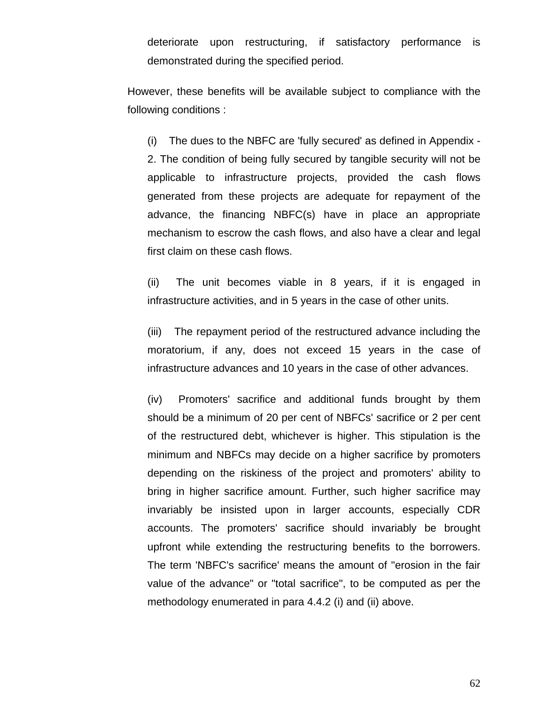deteriorate upon restructuring, if satisfactory performance is demonstrated during the specified period.

However, these benefits will be available subject to compliance with the following conditions :

(i) The dues to the NBFC are 'fully secured' as defined in Appendix - 2. The condition of being fully secured by tangible security will not be applicable to infrastructure projects, provided the cash flows generated from these projects are adequate for repayment of the advance, the financing NBFC(s) have in place an appropriate mechanism to escrow the cash flows, and also have a clear and legal first claim on these cash flows.

(ii) The unit becomes viable in 8 years, if it is engaged in infrastructure activities, and in 5 years in the case of other units.

(iii) The repayment period of the restructured advance including the moratorium, if any, does not exceed 15 years in the case of infrastructure advances and 10 years in the case of other advances.

(iv) Promoters' sacrifice and additional funds brought by them should be a minimum of 20 per cent of NBFCs' sacrifice or 2 per cent of the restructured debt, whichever is higher. This stipulation is the minimum and NBFCs may decide on a higher sacrifice by promoters depending on the riskiness of the project and promoters' ability to bring in higher sacrifice amount. Further, such higher sacrifice may invariably be insisted upon in larger accounts, especially CDR accounts. The promoters' sacrifice should invariably be brought upfront while extending the restructuring benefits to the borrowers. The term 'NBFC's sacrifice' means the amount of "erosion in the fair value of the advance" or "total sacrifice", to be computed as per the methodology enumerated in para 4.4.2 (i) and (ii) above.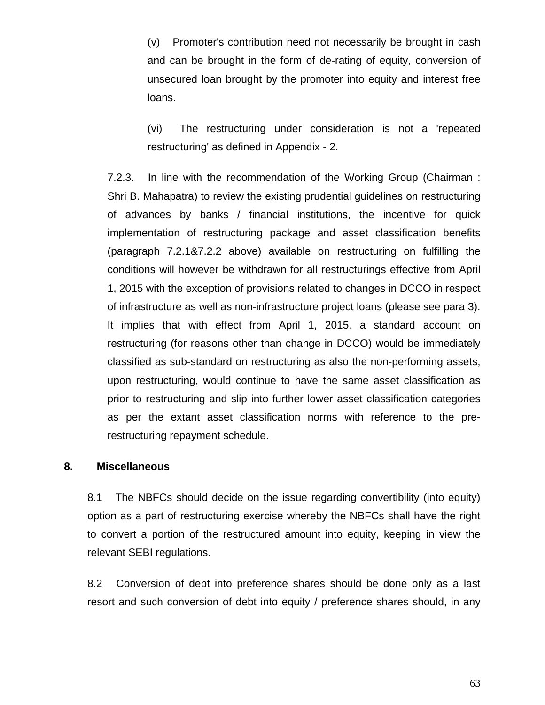(v) Promoter's contribution need not necessarily be brought in cash and can be brought in the form of de-rating of equity, conversion of unsecured loan brought by the promoter into equity and interest free loans.

(vi) The restructuring under consideration is not a 'repeated restructuring' as defined in Appendix - 2.

7.2.3. In line with the recommendation of the Working Group (Chairman : Shri B. Mahapatra) to review the existing prudential guidelines on restructuring of advances by banks / financial institutions, the incentive for quick implementation of restructuring package and asset classification benefits (paragraph 7.2.1&7.2.2 above) available on restructuring on fulfilling the conditions will however be withdrawn for all restructurings effective from April 1, 2015 with the exception of provisions related to changes in DCCO in respect of infrastructure as well as non-infrastructure project loans (please see para 3). It implies that with effect from April 1, 2015, a standard account on restructuring (for reasons other than change in DCCO) would be immediately classified as sub-standard on restructuring as also the non-performing assets, upon restructuring, would continue to have the same asset classification as prior to restructuring and slip into further lower asset classification categories as per the extant asset classification norms with reference to the prerestructuring repayment schedule.

#### **8. Miscellaneous**

8.1 The NBFCs should decide on the issue regarding convertibility (into equity) option as a part of restructuring exercise whereby the NBFCs shall have the right to convert a portion of the restructured amount into equity, keeping in view the relevant SEBI regulations.

8.2 Conversion of debt into preference shares should be done only as a last resort and such conversion of debt into equity / preference shares should, in any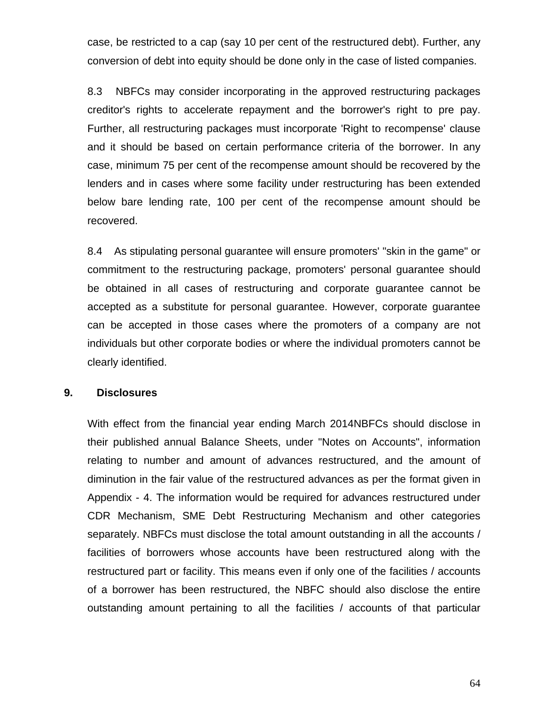case, be restricted to a cap (say 10 per cent of the restructured debt). Further, any conversion of debt into equity should be done only in the case of listed companies.

8.3 NBFCs may consider incorporating in the approved restructuring packages creditor's rights to accelerate repayment and the borrower's right to pre pay. Further, all restructuring packages must incorporate 'Right to recompense' clause and it should be based on certain performance criteria of the borrower. In any case, minimum 75 per cent of the recompense amount should be recovered by the lenders and in cases where some facility under restructuring has been extended below bare lending rate, 100 per cent of the recompense amount should be recovered.

8.4 As stipulating personal guarantee will ensure promoters' "skin in the game" or commitment to the restructuring package, promoters' personal guarantee should be obtained in all cases of restructuring and corporate guarantee cannot be accepted as a substitute for personal guarantee. However, corporate guarantee can be accepted in those cases where the promoters of a company are not individuals but other corporate bodies or where the individual promoters cannot be clearly identified.

#### **9. Disclosures**

With effect from the financial year ending March 2014NBFCs should disclose in their published annual Balance Sheets, under "Notes on Accounts", information relating to number and amount of advances restructured, and the amount of diminution in the fair value of the restructured advances as per the format given in Appendix - 4. The information would be required for advances restructured under CDR Mechanism, SME Debt Restructuring Mechanism and other categories separately. NBFCs must disclose the total amount outstanding in all the accounts / facilities of borrowers whose accounts have been restructured along with the restructured part or facility. This means even if only one of the facilities / accounts of a borrower has been restructured, the NBFC should also disclose the entire outstanding amount pertaining to all the facilities / accounts of that particular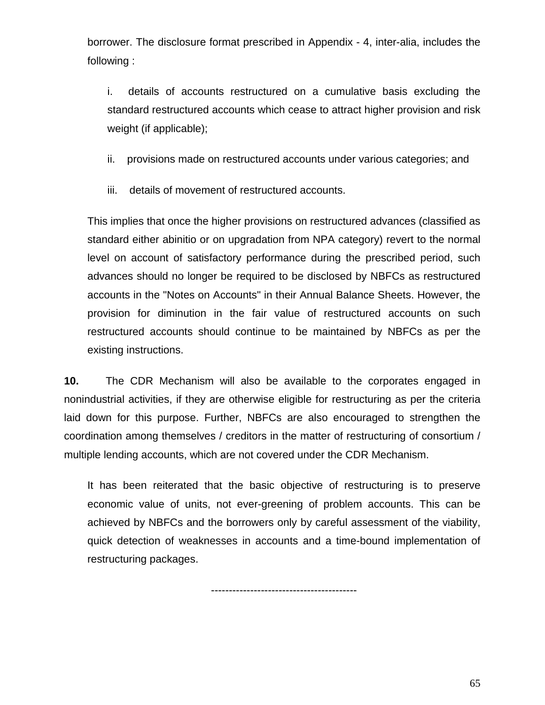borrower. The disclosure format prescribed in Appendix - 4, inter-alia, includes the following :

i. details of accounts restructured on a cumulative basis excluding the standard restructured accounts which cease to attract higher provision and risk weight (if applicable);

- ii. provisions made on restructured accounts under various categories; and
- iii. details of movement of restructured accounts.

This implies that once the higher provisions on restructured advances (classified as standard either abinitio or on upgradation from NPA category) revert to the normal level on account of satisfactory performance during the prescribed period, such advances should no longer be required to be disclosed by NBFCs as restructured accounts in the "Notes on Accounts" in their Annual Balance Sheets. However, the provision for diminution in the fair value of restructured accounts on such restructured accounts should continue to be maintained by NBFCs as per the existing instructions.

**10.** The CDR Mechanism will also be available to the corporates engaged in nonindustrial activities, if they are otherwise eligible for restructuring as per the criteria laid down for this purpose. Further, NBFCs are also encouraged to strengthen the coordination among themselves / creditors in the matter of restructuring of consortium / multiple lending accounts, which are not covered under the CDR Mechanism.

It has been reiterated that the basic objective of restructuring is to preserve economic value of units, not ever-greening of problem accounts. This can be achieved by NBFCs and the borrowers only by careful assessment of the viability, quick detection of weaknesses in accounts and a time-bound implementation of restructuring packages.

-----------------------------------------

65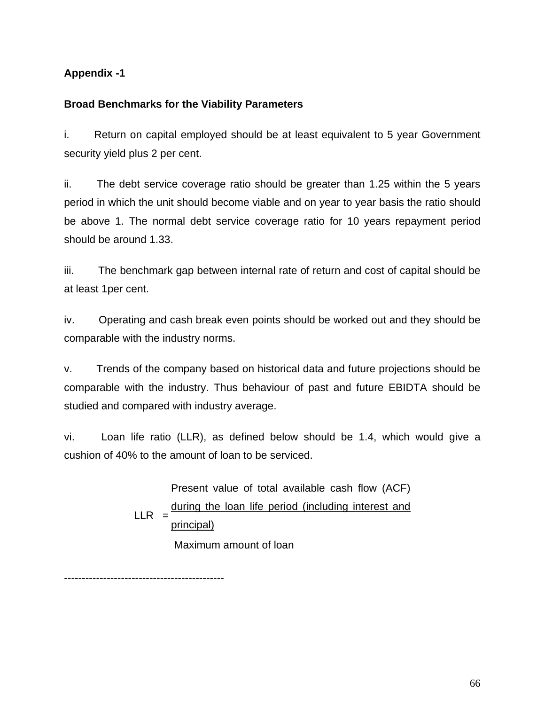# **Appendix -1**

### **Broad Benchmarks for the Viability Parameters**

i. Return on capital employed should be at least equivalent to 5 year Government security yield plus 2 per cent.

ii. The debt service coverage ratio should be greater than 1.25 within the 5 years period in which the unit should become viable and on year to year basis the ratio should be above 1. The normal debt service coverage ratio for 10 years repayment period should be around 1.33.

iii. The benchmark gap between internal rate of return and cost of capital should be at least 1per cent.

iv. Operating and cash break even points should be worked out and they should be comparable with the industry norms.

v. Trends of the company based on historical data and future projections should be comparable with the industry. Thus behaviour of past and future EBIDTA should be studied and compared with industry average.

vi. Loan life ratio (LLR), as defined below should be 1.4, which would give a cushion of 40% to the amount of loan to be serviced.

> Present value of total available cash flow (ACF) during the loan life period (including interest and principal)  $LLR =$ Maximum amount of loan

---------------------------------------------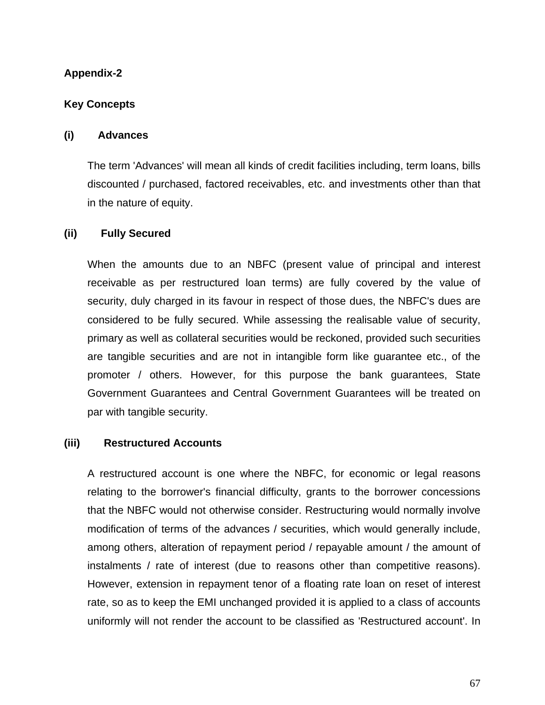## **Appendix-2**

### **Key Concepts**

### **(i) Advances**

The term 'Advances' will mean all kinds of credit facilities including, term loans, bills discounted / purchased, factored receivables, etc. and investments other than that in the nature of equity.

### **(ii) Fully Secured**

When the amounts due to an NBFC (present value of principal and interest receivable as per restructured loan terms) are fully covered by the value of security, duly charged in its favour in respect of those dues, the NBFC's dues are considered to be fully secured. While assessing the realisable value of security, primary as well as collateral securities would be reckoned, provided such securities are tangible securities and are not in intangible form like guarantee etc., of the promoter / others. However, for this purpose the bank guarantees, State Government Guarantees and Central Government Guarantees will be treated on par with tangible security.

### **(iii) Restructured Accounts**

A restructured account is one where the NBFC, for economic or legal reasons relating to the borrower's financial difficulty, grants to the borrower concessions that the NBFC would not otherwise consider. Restructuring would normally involve modification of terms of the advances / securities, which would generally include, among others, alteration of repayment period / repayable amount / the amount of instalments / rate of interest (due to reasons other than competitive reasons). However, extension in repayment tenor of a floating rate loan on reset of interest rate, so as to keep the EMI unchanged provided it is applied to a class of accounts uniformly will not render the account to be classified as 'Restructured account'. In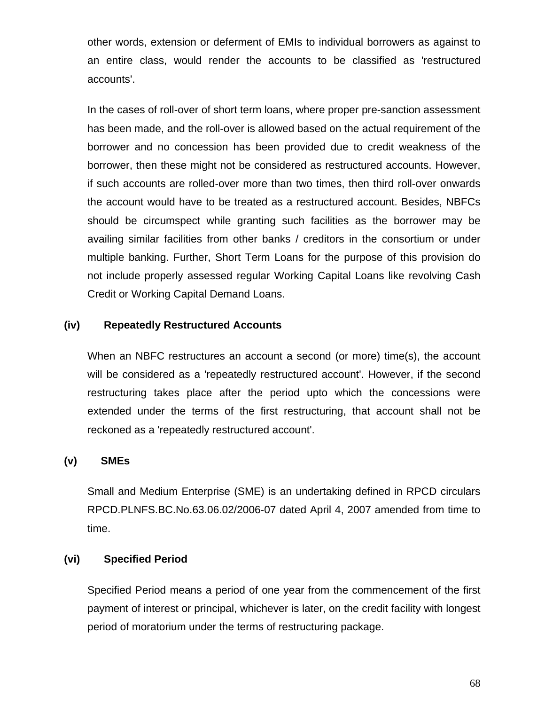other words, extension or deferment of EMIs to individual borrowers as against to an entire class, would render the accounts to be classified as 'restructured accounts'.

In the cases of roll-over of short term loans, where proper pre-sanction assessment has been made, and the roll-over is allowed based on the actual requirement of the borrower and no concession has been provided due to credit weakness of the borrower, then these might not be considered as restructured accounts. However, if such accounts are rolled-over more than two times, then third roll-over onwards the account would have to be treated as a restructured account. Besides, NBFCs should be circumspect while granting such facilities as the borrower may be availing similar facilities from other banks / creditors in the consortium or under multiple banking. Further, Short Term Loans for the purpose of this provision do not include properly assessed regular Working Capital Loans like revolving Cash Credit or Working Capital Demand Loans.

### **(iv) Repeatedly Restructured Accounts**

When an NBFC restructures an account a second (or more) time(s), the account will be considered as a 'repeatedly restructured account'. However, if the second restructuring takes place after the period upto which the concessions were extended under the terms of the first restructuring, that account shall not be reckoned as a 'repeatedly restructured account'.

### **(v) SMEs**

Small and Medium Enterprise (SME) is an undertaking defined in RPCD circulars RPCD.PLNFS.BC.No.63.06.02/2006-07 dated April 4, 2007 amended from time to time.

### **(vi) Specified Period**

Specified Period means a period of one year from the commencement of the first payment of interest or principal, whichever is later, on the credit facility with longest period of moratorium under the terms of restructuring package.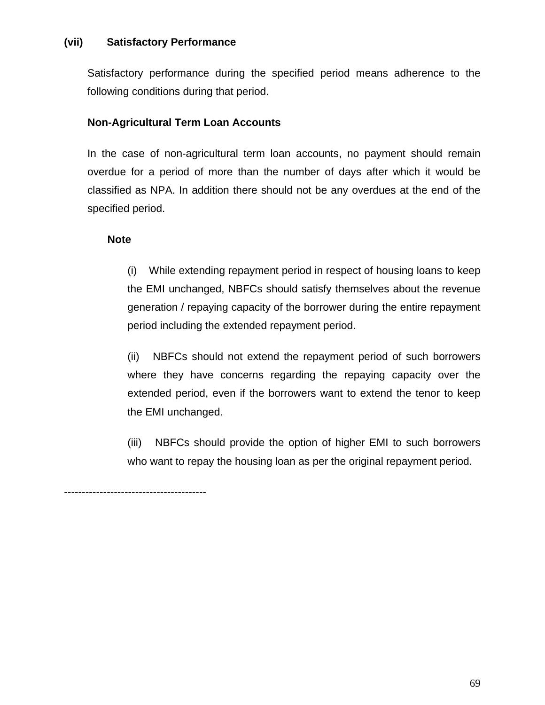### **(vii) Satisfactory Performance**

Satisfactory performance during the specified period means adherence to the following conditions during that period.

### **Non-Agricultural Term Loan Accounts**

In the case of non-agricultural term loan accounts, no payment should remain overdue for a period of more than the number of days after which it would be classified as NPA. In addition there should not be any overdues at the end of the specified period.

### **Note**

(i) While extending repayment period in respect of housing loans to keep the EMI unchanged, NBFCs should satisfy themselves about the revenue generation / repaying capacity of the borrower during the entire repayment period including the extended repayment period.

(ii) NBFCs should not extend the repayment period of such borrowers where they have concerns regarding the repaying capacity over the extended period, even if the borrowers want to extend the tenor to keep the EMI unchanged.

(iii) NBFCs should provide the option of higher EMI to such borrowers who want to repay the housing loan as per the original repayment period.

----------------------------------------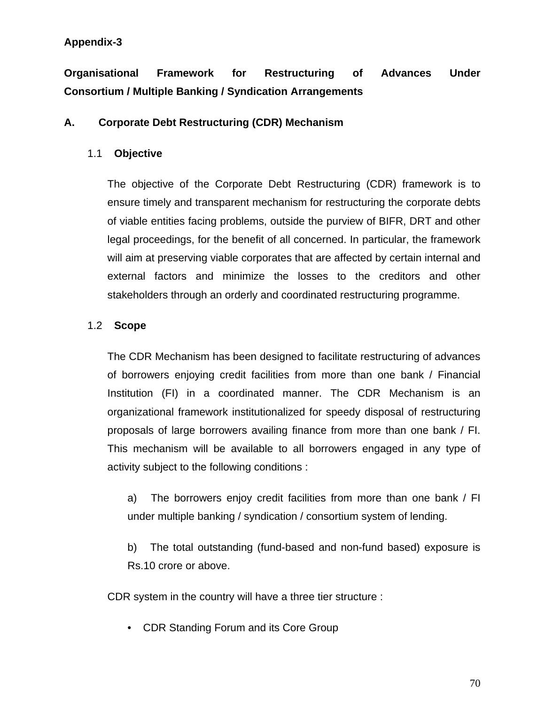# **Appendix-3**

# **Organisational Framework for Restructuring of Advances Under Consortium / Multiple Banking / Syndication Arrangements**

## **A. Corporate Debt Restructuring (CDR) Mechanism**

## 1.1 **Objective**

The objective of the Corporate Debt Restructuring (CDR) framework is to ensure timely and transparent mechanism for restructuring the corporate debts of viable entities facing problems, outside the purview of BIFR, DRT and other legal proceedings, for the benefit of all concerned. In particular, the framework will aim at preserving viable corporates that are affected by certain internal and external factors and minimize the losses to the creditors and other stakeholders through an orderly and coordinated restructuring programme.

## 1.2 **Scope**

The CDR Mechanism has been designed to facilitate restructuring of advances of borrowers enjoying credit facilities from more than one bank / Financial Institution (FI) in a coordinated manner. The CDR Mechanism is an organizational framework institutionalized for speedy disposal of restructuring proposals of large borrowers availing finance from more than one bank / FI. This mechanism will be available to all borrowers engaged in any type of activity subject to the following conditions :

a) The borrowers enjoy credit facilities from more than one bank / FI under multiple banking / syndication / consortium system of lending.

b) The total outstanding (fund-based and non-fund based) exposure is Rs.10 crore or above.

CDR system in the country will have a three tier structure :

• CDR Standing Forum and its Core Group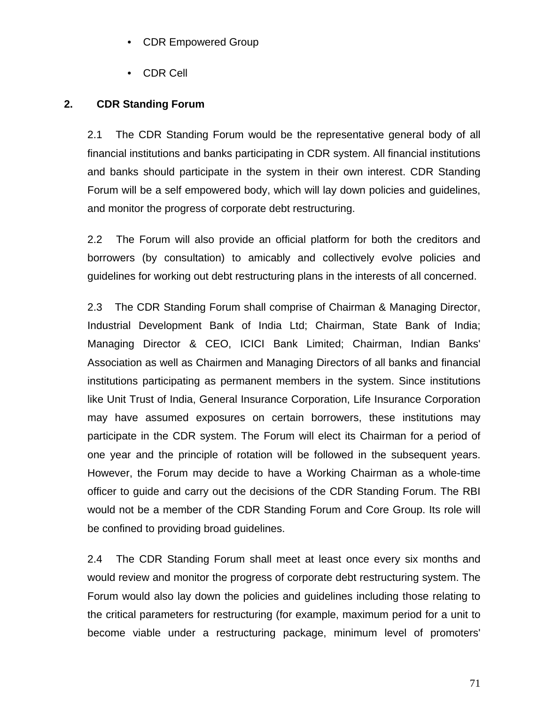- CDR Empowered Group
- CDR Cell

# **2. CDR Standing Forum**

2.1 The CDR Standing Forum would be the representative general body of all financial institutions and banks participating in CDR system. All financial institutions and banks should participate in the system in their own interest. CDR Standing Forum will be a self empowered body, which will lay down policies and guidelines, and monitor the progress of corporate debt restructuring.

2.2 The Forum will also provide an official platform for both the creditors and borrowers (by consultation) to amicably and collectively evolve policies and guidelines for working out debt restructuring plans in the interests of all concerned.

2.3 The CDR Standing Forum shall comprise of Chairman & Managing Director, Industrial Development Bank of India Ltd; Chairman, State Bank of India; Managing Director & CEO, ICICI Bank Limited; Chairman, Indian Banks' Association as well as Chairmen and Managing Directors of all banks and financial institutions participating as permanent members in the system. Since institutions like Unit Trust of India, General Insurance Corporation, Life Insurance Corporation may have assumed exposures on certain borrowers, these institutions may participate in the CDR system. The Forum will elect its Chairman for a period of one year and the principle of rotation will be followed in the subsequent years. However, the Forum may decide to have a Working Chairman as a whole-time officer to guide and carry out the decisions of the CDR Standing Forum. The RBI would not be a member of the CDR Standing Forum and Core Group. Its role will be confined to providing broad guidelines.

2.4 The CDR Standing Forum shall meet at least once every six months and would review and monitor the progress of corporate debt restructuring system. The Forum would also lay down the policies and guidelines including those relating to the critical parameters for restructuring (for example, maximum period for a unit to become viable under a restructuring package, minimum level of promoters'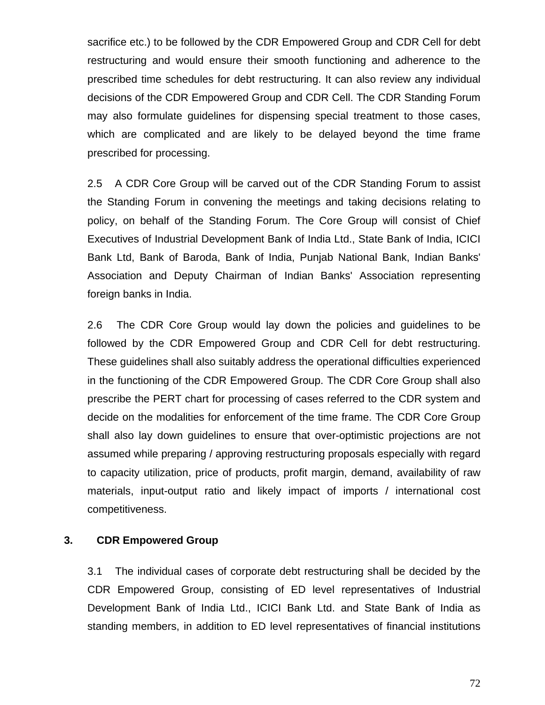sacrifice etc.) to be followed by the CDR Empowered Group and CDR Cell for debt restructuring and would ensure their smooth functioning and adherence to the prescribed time schedules for debt restructuring. It can also review any individual decisions of the CDR Empowered Group and CDR Cell. The CDR Standing Forum may also formulate guidelines for dispensing special treatment to those cases, which are complicated and are likely to be delayed beyond the time frame prescribed for processing.

2.5 A CDR Core Group will be carved out of the CDR Standing Forum to assist the Standing Forum in convening the meetings and taking decisions relating to policy, on behalf of the Standing Forum. The Core Group will consist of Chief Executives of Industrial Development Bank of India Ltd., State Bank of India, ICICI Bank Ltd, Bank of Baroda, Bank of India, Punjab National Bank, Indian Banks' Association and Deputy Chairman of Indian Banks' Association representing foreign banks in India.

2.6 The CDR Core Group would lay down the policies and guidelines to be followed by the CDR Empowered Group and CDR Cell for debt restructuring. These guidelines shall also suitably address the operational difficulties experienced in the functioning of the CDR Empowered Group. The CDR Core Group shall also prescribe the PERT chart for processing of cases referred to the CDR system and decide on the modalities for enforcement of the time frame. The CDR Core Group shall also lay down guidelines to ensure that over-optimistic projections are not assumed while preparing / approving restructuring proposals especially with regard to capacity utilization, price of products, profit margin, demand, availability of raw materials, input-output ratio and likely impact of imports / international cost competitiveness.

### **3. CDR Empowered Group**

3.1 The individual cases of corporate debt restructuring shall be decided by the CDR Empowered Group, consisting of ED level representatives of Industrial Development Bank of India Ltd., ICICI Bank Ltd. and State Bank of India as standing members, in addition to ED level representatives of financial institutions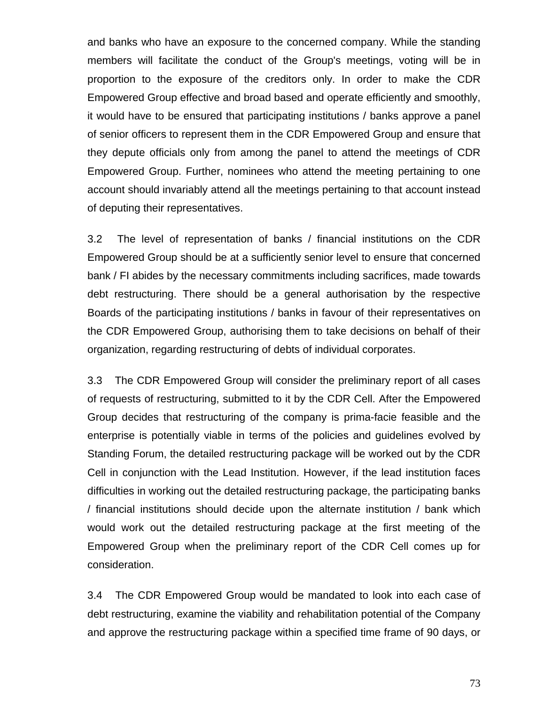and banks who have an exposure to the concerned company. While the standing members will facilitate the conduct of the Group's meetings, voting will be in proportion to the exposure of the creditors only. In order to make the CDR Empowered Group effective and broad based and operate efficiently and smoothly, it would have to be ensured that participating institutions / banks approve a panel of senior officers to represent them in the CDR Empowered Group and ensure that they depute officials only from among the panel to attend the meetings of CDR Empowered Group. Further, nominees who attend the meeting pertaining to one account should invariably attend all the meetings pertaining to that account instead of deputing their representatives.

3.2 The level of representation of banks / financial institutions on the CDR Empowered Group should be at a sufficiently senior level to ensure that concerned bank / FI abides by the necessary commitments including sacrifices, made towards debt restructuring. There should be a general authorisation by the respective Boards of the participating institutions / banks in favour of their representatives on the CDR Empowered Group, authorising them to take decisions on behalf of their organization, regarding restructuring of debts of individual corporates.

3.3 The CDR Empowered Group will consider the preliminary report of all cases of requests of restructuring, submitted to it by the CDR Cell. After the Empowered Group decides that restructuring of the company is prima-facie feasible and the enterprise is potentially viable in terms of the policies and guidelines evolved by Standing Forum, the detailed restructuring package will be worked out by the CDR Cell in conjunction with the Lead Institution. However, if the lead institution faces difficulties in working out the detailed restructuring package, the participating banks / financial institutions should decide upon the alternate institution / bank which would work out the detailed restructuring package at the first meeting of the Empowered Group when the preliminary report of the CDR Cell comes up for consideration.

3.4 The CDR Empowered Group would be mandated to look into each case of debt restructuring, examine the viability and rehabilitation potential of the Company and approve the restructuring package within a specified time frame of 90 days, or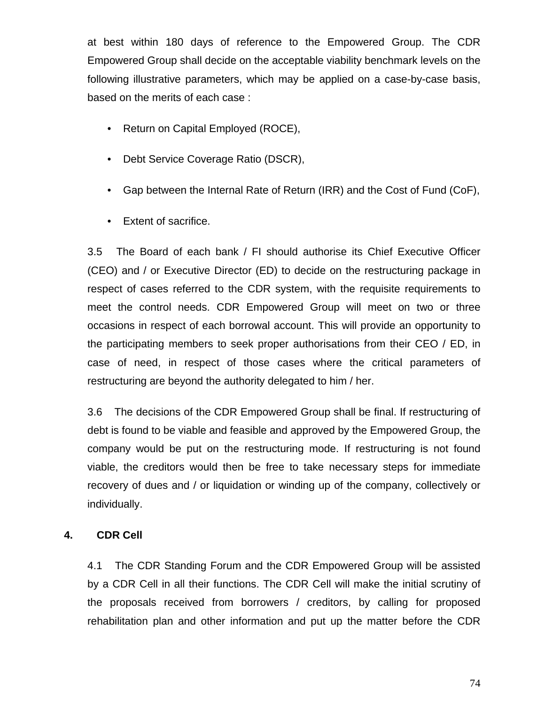at best within 180 days of reference to the Empowered Group. The CDR Empowered Group shall decide on the acceptable viability benchmark levels on the following illustrative parameters, which may be applied on a case-by-case basis, based on the merits of each case :

- Return on Capital Employed (ROCE),
- Debt Service Coverage Ratio (DSCR),
- Gap between the Internal Rate of Return (IRR) and the Cost of Fund (CoF),
- Extent of sacrifice.

3.5 The Board of each bank / FI should authorise its Chief Executive Officer (CEO) and / or Executive Director (ED) to decide on the restructuring package in respect of cases referred to the CDR system, with the requisite requirements to meet the control needs. CDR Empowered Group will meet on two or three occasions in respect of each borrowal account. This will provide an opportunity to the participating members to seek proper authorisations from their CEO / ED, in case of need, in respect of those cases where the critical parameters of restructuring are beyond the authority delegated to him / her.

3.6 The decisions of the CDR Empowered Group shall be final. If restructuring of debt is found to be viable and feasible and approved by the Empowered Group, the company would be put on the restructuring mode. If restructuring is not found viable, the creditors would then be free to take necessary steps for immediate recovery of dues and / or liquidation or winding up of the company, collectively or individually.

### **4. CDR Cell**

4.1 The CDR Standing Forum and the CDR Empowered Group will be assisted by a CDR Cell in all their functions. The CDR Cell will make the initial scrutiny of the proposals received from borrowers / creditors, by calling for proposed rehabilitation plan and other information and put up the matter before the CDR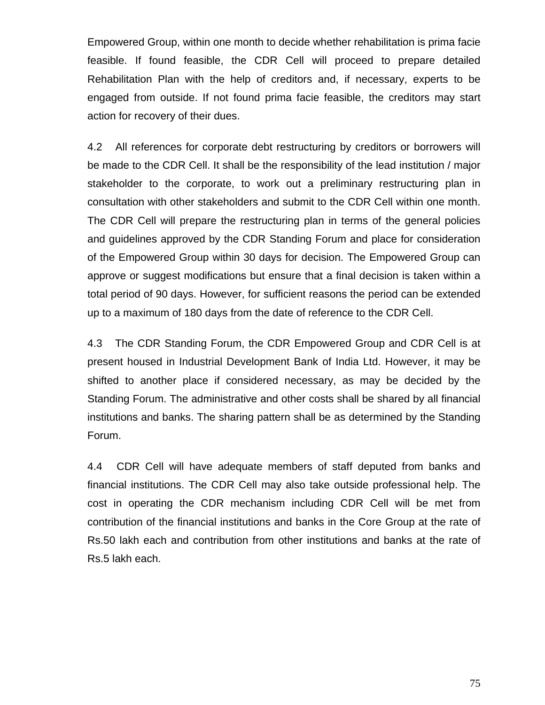Empowered Group, within one month to decide whether rehabilitation is prima facie feasible. If found feasible, the CDR Cell will proceed to prepare detailed Rehabilitation Plan with the help of creditors and, if necessary, experts to be engaged from outside. If not found prima facie feasible, the creditors may start action for recovery of their dues.

4.2 All references for corporate debt restructuring by creditors or borrowers will be made to the CDR Cell. It shall be the responsibility of the lead institution / major stakeholder to the corporate, to work out a preliminary restructuring plan in consultation with other stakeholders and submit to the CDR Cell within one month. The CDR Cell will prepare the restructuring plan in terms of the general policies and guidelines approved by the CDR Standing Forum and place for consideration of the Empowered Group within 30 days for decision. The Empowered Group can approve or suggest modifications but ensure that a final decision is taken within a total period of 90 days. However, for sufficient reasons the period can be extended up to a maximum of 180 days from the date of reference to the CDR Cell.

4.3 The CDR Standing Forum, the CDR Empowered Group and CDR Cell is at present housed in Industrial Development Bank of India Ltd. However, it may be shifted to another place if considered necessary, as may be decided by the Standing Forum. The administrative and other costs shall be shared by all financial institutions and banks. The sharing pattern shall be as determined by the Standing Forum.

4.4 CDR Cell will have adequate members of staff deputed from banks and financial institutions. The CDR Cell may also take outside professional help. The cost in operating the CDR mechanism including CDR Cell will be met from contribution of the financial institutions and banks in the Core Group at the rate of Rs.50 lakh each and contribution from other institutions and banks at the rate of Rs.5 lakh each.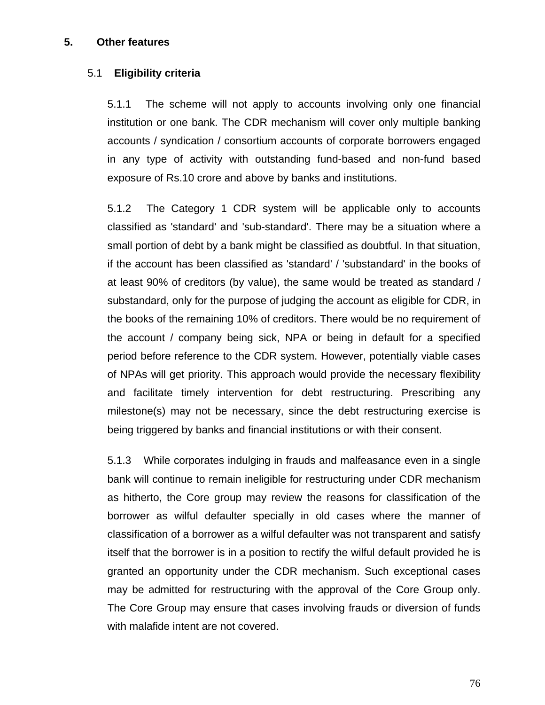### **5. Other features**

### 5.1 **Eligibility criteria**

5.1.1 The scheme will not apply to accounts involving only one financial institution or one bank. The CDR mechanism will cover only multiple banking accounts / syndication / consortium accounts of corporate borrowers engaged in any type of activity with outstanding fund-based and non-fund based exposure of Rs.10 crore and above by banks and institutions.

5.1.2 The Category 1 CDR system will be applicable only to accounts classified as 'standard' and 'sub-standard'. There may be a situation where a small portion of debt by a bank might be classified as doubtful. In that situation, if the account has been classified as 'standard' / 'substandard' in the books of at least 90% of creditors (by value), the same would be treated as standard / substandard, only for the purpose of judging the account as eligible for CDR, in the books of the remaining 10% of creditors. There would be no requirement of the account / company being sick, NPA or being in default for a specified period before reference to the CDR system. However, potentially viable cases of NPAs will get priority. This approach would provide the necessary flexibility and facilitate timely intervention for debt restructuring. Prescribing any milestone(s) may not be necessary, since the debt restructuring exercise is being triggered by banks and financial institutions or with their consent.

5.1.3 While corporates indulging in frauds and malfeasance even in a single bank will continue to remain ineligible for restructuring under CDR mechanism as hitherto, the Core group may review the reasons for classification of the borrower as wilful defaulter specially in old cases where the manner of classification of a borrower as a wilful defaulter was not transparent and satisfy itself that the borrower is in a position to rectify the wilful default provided he is granted an opportunity under the CDR mechanism. Such exceptional cases may be admitted for restructuring with the approval of the Core Group only. The Core Group may ensure that cases involving frauds or diversion of funds with malafide intent are not covered.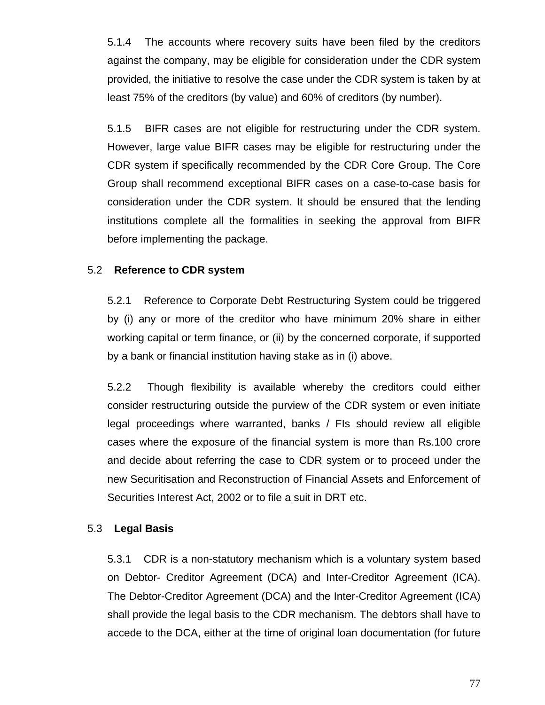5.1.4 The accounts where recovery suits have been filed by the creditors against the company, may be eligible for consideration under the CDR system provided, the initiative to resolve the case under the CDR system is taken by at least 75% of the creditors (by value) and 60% of creditors (by number).

5.1.5 BIFR cases are not eligible for restructuring under the CDR system. However, large value BIFR cases may be eligible for restructuring under the CDR system if specifically recommended by the CDR Core Group. The Core Group shall recommend exceptional BIFR cases on a case-to-case basis for consideration under the CDR system. It should be ensured that the lending institutions complete all the formalities in seeking the approval from BIFR before implementing the package.

### 5.2 **Reference to CDR system**

5.2.1 Reference to Corporate Debt Restructuring System could be triggered by (i) any or more of the creditor who have minimum 20% share in either working capital or term finance, or (ii) by the concerned corporate, if supported by a bank or financial institution having stake as in (i) above.

5.2.2 Though flexibility is available whereby the creditors could either consider restructuring outside the purview of the CDR system or even initiate legal proceedings where warranted, banks / FIs should review all eligible cases where the exposure of the financial system is more than Rs.100 crore and decide about referring the case to CDR system or to proceed under the new Securitisation and Reconstruction of Financial Assets and Enforcement of Securities Interest Act, 2002 or to file a suit in DRT etc.

### 5.3 **Legal Basis**

5.3.1 CDR is a non-statutory mechanism which is a voluntary system based on Debtor- Creditor Agreement (DCA) and Inter-Creditor Agreement (ICA). The Debtor-Creditor Agreement (DCA) and the Inter-Creditor Agreement (ICA) shall provide the legal basis to the CDR mechanism. The debtors shall have to accede to the DCA, either at the time of original loan documentation (for future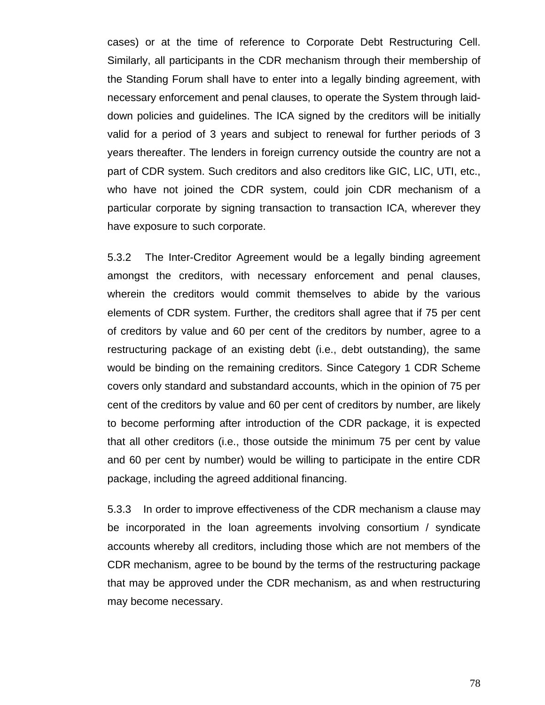cases) or at the time of reference to Corporate Debt Restructuring Cell. Similarly, all participants in the CDR mechanism through their membership of the Standing Forum shall have to enter into a legally binding agreement, with necessary enforcement and penal clauses, to operate the System through laiddown policies and guidelines. The ICA signed by the creditors will be initially valid for a period of 3 years and subject to renewal for further periods of 3 years thereafter. The lenders in foreign currency outside the country are not a part of CDR system. Such creditors and also creditors like GIC, LIC, UTI, etc., who have not joined the CDR system, could join CDR mechanism of a particular corporate by signing transaction to transaction ICA, wherever they have exposure to such corporate.

5.3.2 The Inter-Creditor Agreement would be a legally binding agreement amongst the creditors, with necessary enforcement and penal clauses, wherein the creditors would commit themselves to abide by the various elements of CDR system. Further, the creditors shall agree that if 75 per cent of creditors by value and 60 per cent of the creditors by number, agree to a restructuring package of an existing debt (i.e., debt outstanding), the same would be binding on the remaining creditors. Since Category 1 CDR Scheme covers only standard and substandard accounts, which in the opinion of 75 per cent of the creditors by value and 60 per cent of creditors by number, are likely to become performing after introduction of the CDR package, it is expected that all other creditors (i.e., those outside the minimum 75 per cent by value and 60 per cent by number) would be willing to participate in the entire CDR package, including the agreed additional financing.

5.3.3 In order to improve effectiveness of the CDR mechanism a clause may be incorporated in the loan agreements involving consortium / syndicate accounts whereby all creditors, including those which are not members of the CDR mechanism, agree to be bound by the terms of the restructuring package that may be approved under the CDR mechanism, as and when restructuring may become necessary.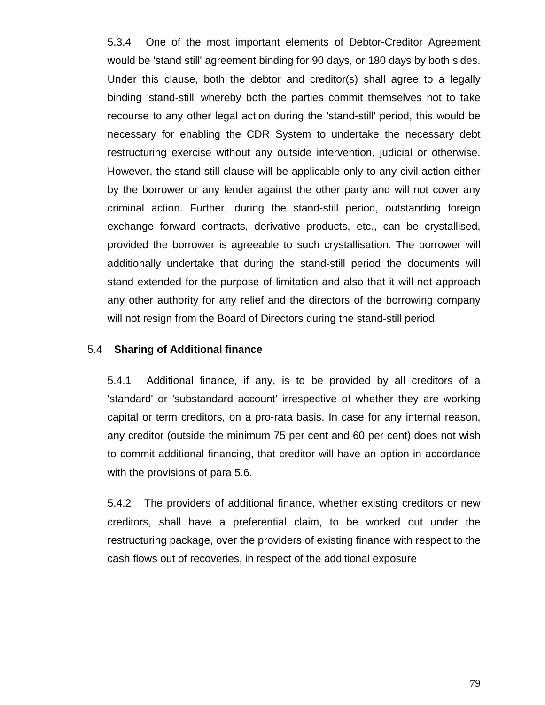5.3.4 One of the most important elements of Debtor-Creditor Agreement would be 'stand still' agreement binding for 90 days, or 180 days by both sides. Under this clause, both the debtor and creditor(s) shall agree to a legally binding 'stand-still' whereby both the parties commit themselves not to take recourse to any other legal action during the 'stand-still' period, this would be necessary for enabling the CDR System to undertake the necessary debt restructuring exercise without any outside intervention, judicial or otherwise. However, the stand-still clause will be applicable only to any civil action either by the borrower or any lender against the other party and will not cover any criminal action. Further, during the stand-still period, outstanding foreign exchange forward contracts, derivative products, etc., can be crystallised, provided the borrower is agreeable to such crystallisation. The borrower will additionally undertake that during the stand-still period the documents will stand extended for the purpose of limitation and also that it will not approach any other authority for any relief and the directors of the borrowing company will not resign from the Board of Directors during the stand-still period.

#### 5.4 **Sharing of Additional finance**

5.4.1 Additional finance, if any, is to be provided by all creditors of a 'standard' or 'substandard account' irrespective of whether they are working capital or term creditors, on a pro-rata basis. In case for any internal reason, any creditor (outside the minimum 75 per cent and 60 per cent) does not wish to commit additional financing, that creditor will have an option in accordance with the provisions of para 5.6.

5.4.2 The providers of additional finance, whether existing creditors or new creditors, shall have a preferential claim, to be worked out under the restructuring package, over the providers of existing finance with respect to the cash flows out of recoveries, in respect of the additional exposure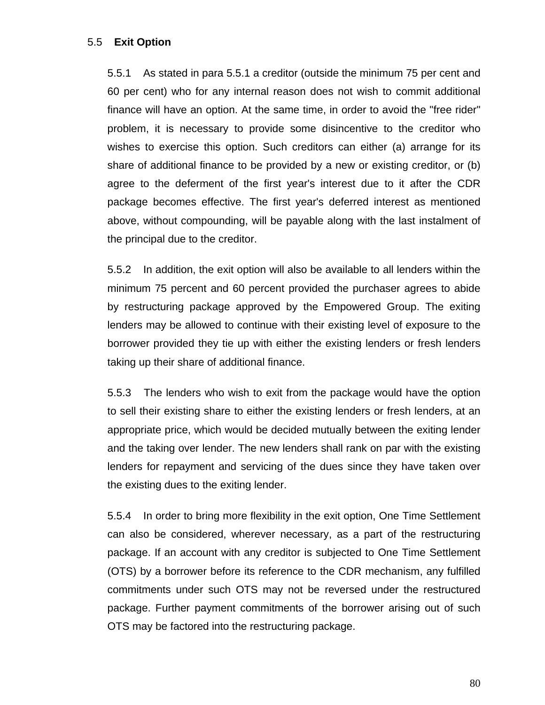### 5.5 **Exit Option**

5.5.1 As stated in para 5.5.1 a creditor (outside the minimum 75 per cent and 60 per cent) who for any internal reason does not wish to commit additional finance will have an option. At the same time, in order to avoid the "free rider" problem, it is necessary to provide some disincentive to the creditor who wishes to exercise this option. Such creditors can either (a) arrange for its share of additional finance to be provided by a new or existing creditor, or (b) agree to the deferment of the first year's interest due to it after the CDR package becomes effective. The first year's deferred interest as mentioned above, without compounding, will be payable along with the last instalment of the principal due to the creditor.

5.5.2 In addition, the exit option will also be available to all lenders within the minimum 75 percent and 60 percent provided the purchaser agrees to abide by restructuring package approved by the Empowered Group. The exiting lenders may be allowed to continue with their existing level of exposure to the borrower provided they tie up with either the existing lenders or fresh lenders taking up their share of additional finance.

5.5.3 The lenders who wish to exit from the package would have the option to sell their existing share to either the existing lenders or fresh lenders, at an appropriate price, which would be decided mutually between the exiting lender and the taking over lender. The new lenders shall rank on par with the existing lenders for repayment and servicing of the dues since they have taken over the existing dues to the exiting lender.

5.5.4 In order to bring more flexibility in the exit option, One Time Settlement can also be considered, wherever necessary, as a part of the restructuring package. If an account with any creditor is subjected to One Time Settlement (OTS) by a borrower before its reference to the CDR mechanism, any fulfilled commitments under such OTS may not be reversed under the restructured package. Further payment commitments of the borrower arising out of such OTS may be factored into the restructuring package.

80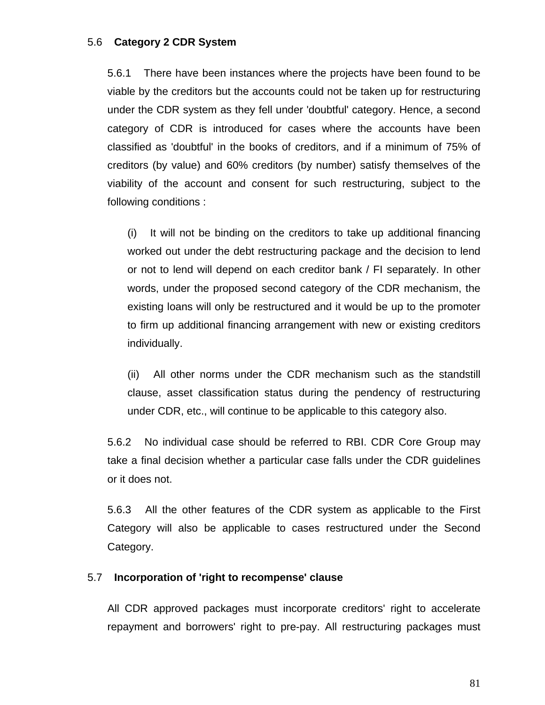#### 5.6 **Category 2 CDR System**

5.6.1 There have been instances where the projects have been found to be viable by the creditors but the accounts could not be taken up for restructuring under the CDR system as they fell under 'doubtful' category. Hence, a second category of CDR is introduced for cases where the accounts have been classified as 'doubtful' in the books of creditors, and if a minimum of 75% of creditors (by value) and 60% creditors (by number) satisfy themselves of the viability of the account and consent for such restructuring, subject to the following conditions :

(i) It will not be binding on the creditors to take up additional financing worked out under the debt restructuring package and the decision to lend or not to lend will depend on each creditor bank / FI separately. In other words, under the proposed second category of the CDR mechanism, the existing loans will only be restructured and it would be up to the promoter to firm up additional financing arrangement with new or existing creditors individually.

(ii) All other norms under the CDR mechanism such as the standstill clause, asset classification status during the pendency of restructuring under CDR, etc., will continue to be applicable to this category also.

5.6.2 No individual case should be referred to RBI. CDR Core Group may take a final decision whether a particular case falls under the CDR guidelines or it does not.

5.6.3 All the other features of the CDR system as applicable to the First Category will also be applicable to cases restructured under the Second Category.

#### 5.7 **Incorporation of 'right to recompense' clause**

All CDR approved packages must incorporate creditors' right to accelerate repayment and borrowers' right to pre-pay. All restructuring packages must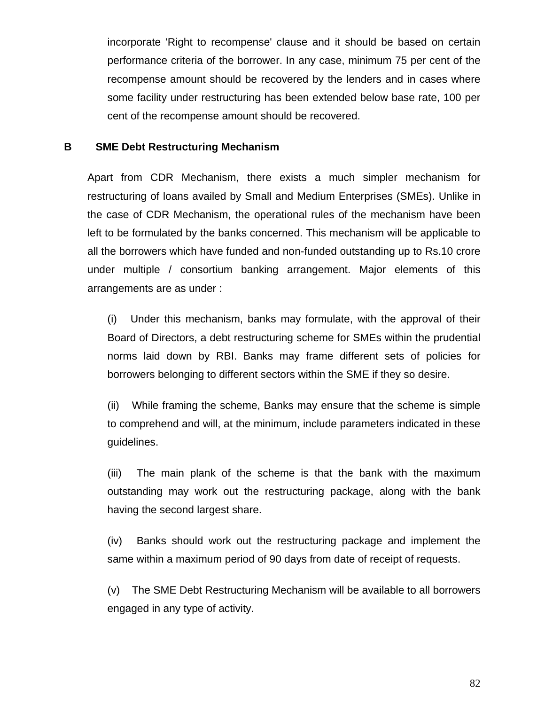incorporate 'Right to recompense' clause and it should be based on certain performance criteria of the borrower. In any case, minimum 75 per cent of the recompense amount should be recovered by the lenders and in cases where some facility under restructuring has been extended below base rate, 100 per cent of the recompense amount should be recovered.

#### **B SME Debt Restructuring Mechanism**

Apart from CDR Mechanism, there exists a much simpler mechanism for restructuring of loans availed by Small and Medium Enterprises (SMEs). Unlike in the case of CDR Mechanism, the operational rules of the mechanism have been left to be formulated by the banks concerned. This mechanism will be applicable to all the borrowers which have funded and non-funded outstanding up to Rs.10 crore under multiple / consortium banking arrangement. Major elements of this arrangements are as under :

(i) Under this mechanism, banks may formulate, with the approval of their Board of Directors, a debt restructuring scheme for SMEs within the prudential norms laid down by RBI. Banks may frame different sets of policies for borrowers belonging to different sectors within the SME if they so desire.

(ii) While framing the scheme, Banks may ensure that the scheme is simple to comprehend and will, at the minimum, include parameters indicated in these guidelines.

(iii) The main plank of the scheme is that the bank with the maximum outstanding may work out the restructuring package, along with the bank having the second largest share.

(iv) Banks should work out the restructuring package and implement the same within a maximum period of 90 days from date of receipt of requests.

(v) The SME Debt Restructuring Mechanism will be available to all borrowers engaged in any type of activity.

82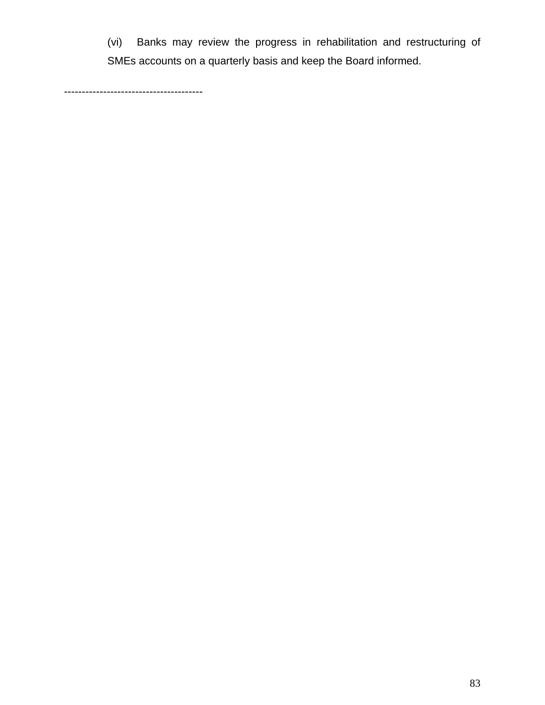(vi) Banks may review the progress in rehabilitation and restructuring of SMEs accounts on a quarterly basis and keep the Board informed.

---------------------------------------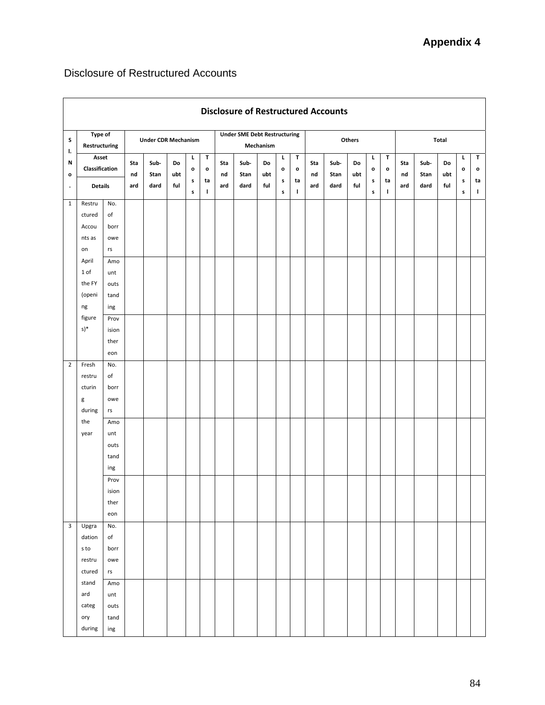|                                |                                                    |                                                           | <b>Disclosure of Restructured Accounts</b><br>Type of<br><b>Under SME Debt Restructuring</b> |                            |                  |                             |                              |                  |                      |                  |                             |                                         |                  |                      |                  |                             |                              |                  |                      |                  |                             |                              |
|--------------------------------|----------------------------------------------------|-----------------------------------------------------------|----------------------------------------------------------------------------------------------|----------------------------|------------------|-----------------------------|------------------------------|------------------|----------------------|------------------|-----------------------------|-----------------------------------------|------------------|----------------------|------------------|-----------------------------|------------------------------|------------------|----------------------|------------------|-----------------------------|------------------------------|
| s<br>Ι.                        | Restructuring                                      |                                                           |                                                                                              | <b>Under CDR Mechanism</b> |                  |                             |                              |                  |                      | Mechanism        |                             |                                         |                  | Others               |                  |                             | Total                        |                  |                      |                  |                             |                              |
| Ν<br>$\mathbf{o}$<br>$\bullet$ | Asset<br>Classification<br><b>Details</b>          |                                                           | Sta<br>nd<br>ard                                                                             | Sub-<br>Stan<br>dard       | Do<br>ubt<br>ful | L<br>$\mathbf{o}$<br>s<br>s | T<br>$\mathbf{o}$<br>ta<br>ı | Sta<br>nd<br>ard | Sub-<br>Stan<br>dard | Do<br>ubt<br>ful | г<br>$\mathbf{o}$<br>s<br>s | $\mathsf{T}$<br>$\mathbf{o}$<br>ta<br>T | Sta<br>nd<br>ard | Sub-<br>Stan<br>dard | Do<br>ubt<br>ful | L<br>$\mathbf{o}$<br>s<br>s | T<br>$\mathbf{o}$<br>ta<br>Т | Sta<br>nd<br>ard | Sub-<br>Stan<br>dard | Do<br>ubt<br>ful | L<br>$\mathbf{o}$<br>s<br>s | T<br>$\mathbf{o}$<br>ta<br>L |
| $\mathbf{1}$                   | Restru<br>ctured<br>Accou<br>nts as<br>on<br>April | No.<br>of<br>borr<br>owe<br>$\mathsf{r}\mathsf{s}$<br>Amo |                                                                                              |                            |                  |                             |                              |                  |                      |                  |                             |                                         |                  |                      |                  |                             |                              |                  |                      |                  |                             |                              |
|                                | 1 of<br>the FY<br>(openi<br>ng<br>figure           | unt<br>outs<br>tand<br>ing<br>Prov                        |                                                                                              |                            |                  |                             |                              |                  |                      |                  |                             |                                         |                  |                      |                  |                             |                              |                  |                      |                  |                             |                              |
| $\mathbf 2$                    | s)*<br>Fresh                                       | ision<br>ther<br>eon<br>No.                               |                                                                                              |                            |                  |                             |                              |                  |                      |                  |                             |                                         |                  |                      |                  |                             |                              |                  |                      |                  |                             |                              |
|                                | restru<br>cturin<br>g<br>during                    | of<br>borr<br>owe<br>rs                                   |                                                                                              |                            |                  |                             |                              |                  |                      |                  |                             |                                         |                  |                      |                  |                             |                              |                  |                      |                  |                             |                              |
|                                | the<br>year                                        | Amo<br>unt<br>outs<br>tand<br>ing                         |                                                                                              |                            |                  |                             |                              |                  |                      |                  |                             |                                         |                  |                      |                  |                             |                              |                  |                      |                  |                             |                              |
|                                |                                                    | Prov<br>ision<br>ther<br>eon                              |                                                                                              |                            |                  |                             |                              |                  |                      |                  |                             |                                         |                  |                      |                  |                             |                              |                  |                      |                  |                             |                              |
| $\overline{\mathbf{3}}$        | Upgra<br>dation<br>s to<br>restru<br>ctured        | No.<br>of<br>borr<br>owe<br>rs                            |                                                                                              |                            |                  |                             |                              |                  |                      |                  |                             |                                         |                  |                      |                  |                             |                              |                  |                      |                  |                             |                              |
|                                | stand<br>ard<br>categ<br>ory<br>during             | Amo<br>unt<br>outs<br>tand<br>ing                         |                                                                                              |                            |                  |                             |                              |                  |                      |                  |                             |                                         |                  |                      |                  |                             |                              |                  |                      |                  |                             |                              |

# Disclosure of Restructured Accounts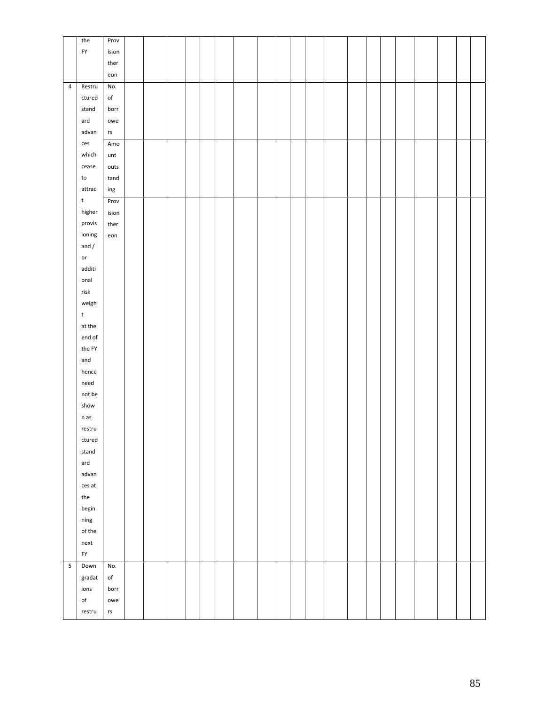|                          | the                              | Prov                 |  |  |  |  |  |  |  |  |  |  |
|--------------------------|----------------------------------|----------------------|--|--|--|--|--|--|--|--|--|--|
|                          | ${\sf FY}$                       | ision                |  |  |  |  |  |  |  |  |  |  |
|                          |                                  | ther                 |  |  |  |  |  |  |  |  |  |  |
|                          |                                  | eon                  |  |  |  |  |  |  |  |  |  |  |
| 4                        | Restru                           | No.                  |  |  |  |  |  |  |  |  |  |  |
|                          | ctured                           | $_{\mathsf{of}}$     |  |  |  |  |  |  |  |  |  |  |
|                          | stand                            | borr                 |  |  |  |  |  |  |  |  |  |  |
|                          | ard                              | owe                  |  |  |  |  |  |  |  |  |  |  |
|                          | advan                            | $\mathsf{rs}\xspace$ |  |  |  |  |  |  |  |  |  |  |
|                          | ces                              | Amo                  |  |  |  |  |  |  |  |  |  |  |
|                          | which                            | unt                  |  |  |  |  |  |  |  |  |  |  |
|                          | cease                            | outs                 |  |  |  |  |  |  |  |  |  |  |
|                          | to                               | tand                 |  |  |  |  |  |  |  |  |  |  |
|                          | atrac                            | ing                  |  |  |  |  |  |  |  |  |  |  |
|                          | t                                | Prov                 |  |  |  |  |  |  |  |  |  |  |
|                          | higher                           | ision                |  |  |  |  |  |  |  |  |  |  |
|                          | provis                           | ther                 |  |  |  |  |  |  |  |  |  |  |
|                          | ioning                           | eon                  |  |  |  |  |  |  |  |  |  |  |
|                          | and $/$                          |                      |  |  |  |  |  |  |  |  |  |  |
|                          | $\mathsf{or}\,$                  |                      |  |  |  |  |  |  |  |  |  |  |
|                          | additi                           |                      |  |  |  |  |  |  |  |  |  |  |
|                          | onal                             |                      |  |  |  |  |  |  |  |  |  |  |
|                          | risk                             |                      |  |  |  |  |  |  |  |  |  |  |
|                          | weigh                            |                      |  |  |  |  |  |  |  |  |  |  |
|                          | $\mathsf{t}$                     |                      |  |  |  |  |  |  |  |  |  |  |
|                          | at the                           |                      |  |  |  |  |  |  |  |  |  |  |
|                          | end of                           |                      |  |  |  |  |  |  |  |  |  |  |
|                          | the FY                           |                      |  |  |  |  |  |  |  |  |  |  |
|                          | and                              |                      |  |  |  |  |  |  |  |  |  |  |
|                          | hence                            |                      |  |  |  |  |  |  |  |  |  |  |
|                          | need                             |                      |  |  |  |  |  |  |  |  |  |  |
|                          | $\operatorname{\mathsf{not}}$ be |                      |  |  |  |  |  |  |  |  |  |  |
|                          | $\mathsf{show}$                  |                      |  |  |  |  |  |  |  |  |  |  |
|                          | n as                             |                      |  |  |  |  |  |  |  |  |  |  |
|                          | restru                           |                      |  |  |  |  |  |  |  |  |  |  |
|                          | $\tt true$                       |                      |  |  |  |  |  |  |  |  |  |  |
|                          | stand                            |                      |  |  |  |  |  |  |  |  |  |  |
|                          | ard                              |                      |  |  |  |  |  |  |  |  |  |  |
|                          | advan                            |                      |  |  |  |  |  |  |  |  |  |  |
|                          | ces at                           |                      |  |  |  |  |  |  |  |  |  |  |
|                          | the                              |                      |  |  |  |  |  |  |  |  |  |  |
|                          | begin                            |                      |  |  |  |  |  |  |  |  |  |  |
|                          | $\mathsf{ning}$                  |                      |  |  |  |  |  |  |  |  |  |  |
|                          | of the                           |                      |  |  |  |  |  |  |  |  |  |  |
|                          | next                             |                      |  |  |  |  |  |  |  |  |  |  |
|                          | <b>FY</b>                        |                      |  |  |  |  |  |  |  |  |  |  |
| $\overline{\phantom{0}}$ | Down                             | No.                  |  |  |  |  |  |  |  |  |  |  |
|                          | gradat                           | of                   |  |  |  |  |  |  |  |  |  |  |
|                          | ions                             | borr                 |  |  |  |  |  |  |  |  |  |  |
|                          | of                               | owe                  |  |  |  |  |  |  |  |  |  |  |
|                          | restru                           | $\mathsf{rs}$        |  |  |  |  |  |  |  |  |  |  |